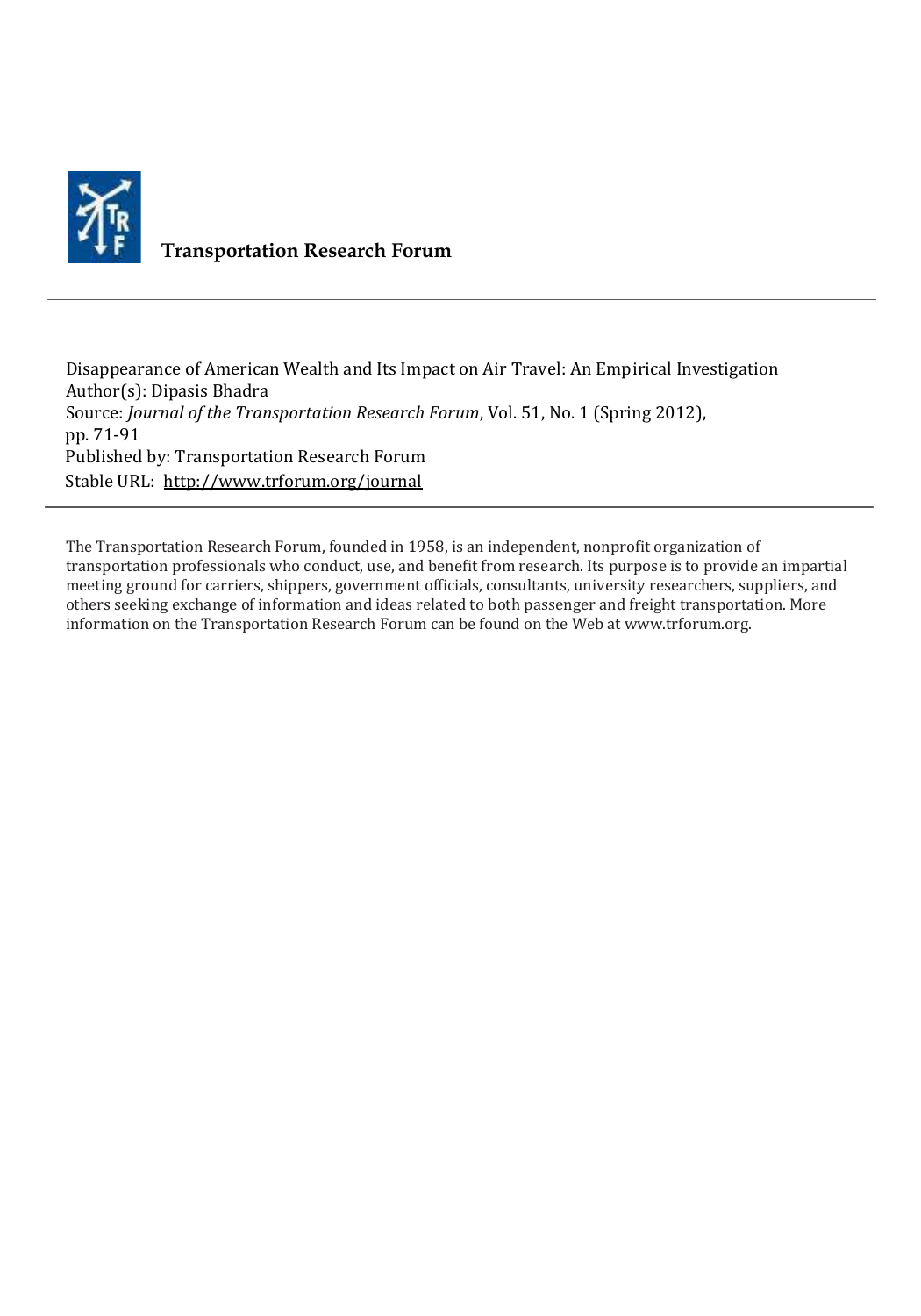

## **Transportation Research Forum**

Disappearance of American Wealth and Its Impact on Air Travel: An Empirical Investigation Author(s): Dipasis Bhadra Source: *Journal of the Transportation Research Forum*, Vol. 51, No. 1 (Spring 2012), pp. 71-91 Published by: Transportation Research Forum Stable URL:<http://www.trforum.org/journal>

The Transportation Research Forum, founded in 1958, is an independent, nonprofit organization of transportation professionals who conduct, use, and benefit from research. Its purpose is to provide an impartial meeting ground for carriers, shippers, government officials, consultants, university researchers, suppliers, and others seeking exchange of information and ideas related to both passenger and freight transportation. More information on the Transportation Research Forum can be found on the Web at www.trforum.org.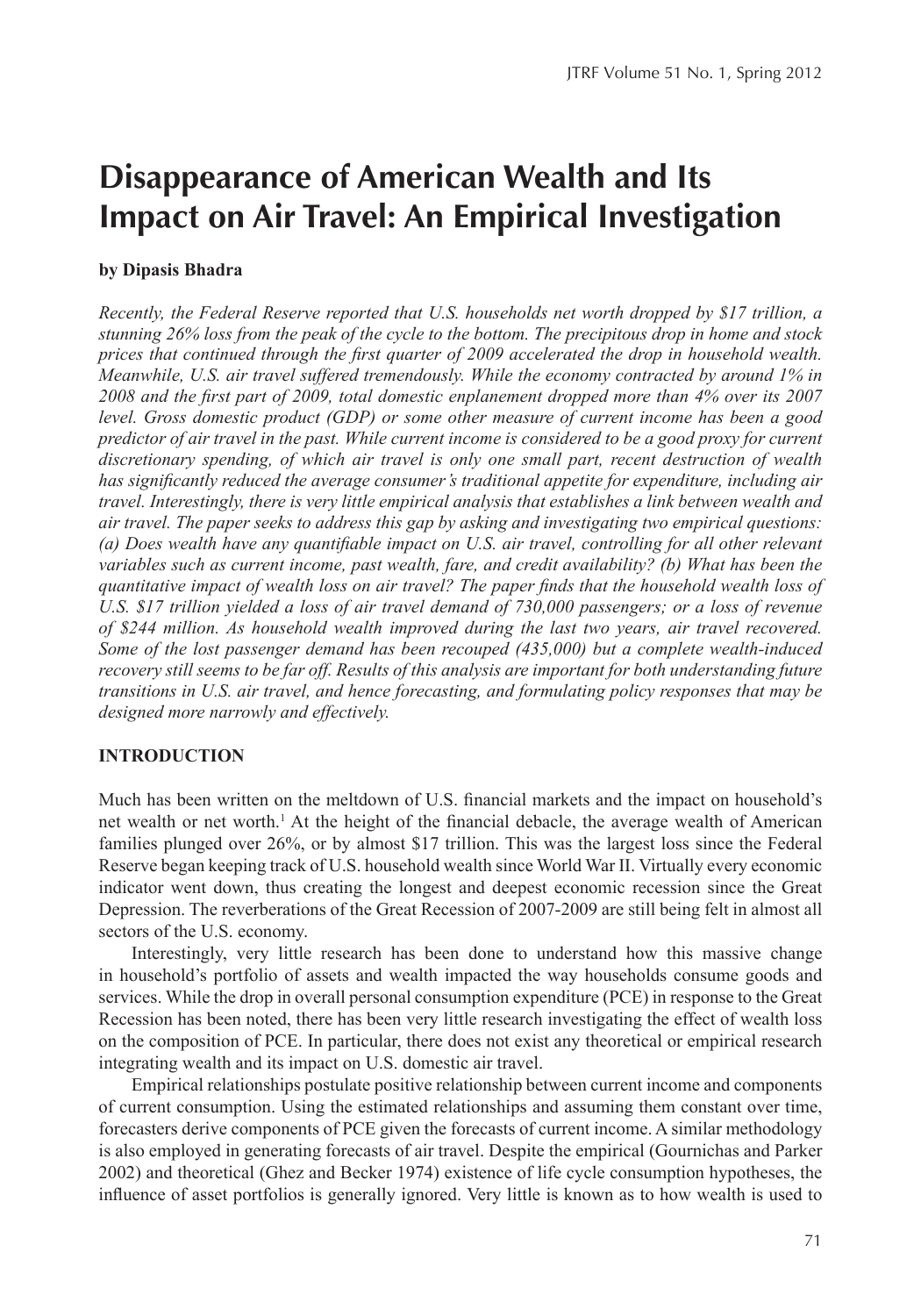# **Disappearance of American Wealth and Its Impact on Air Travel: An Empirical Investigation**

#### **by Dipasis Bhadra**

*Recently, the Federal Reserve reported that U.S. households net worth dropped by \$17 trillion, a stunning* 26% loss from the peak of the cycle to the bottom. The precipitous drop in home and stock *prices that continued through the first quarter of 2009 accelerated the drop in household wealth. Meanwhile, U.S. air travel suffered tremendously. While the economy contracted by around 1% in* 2008 and the first part of 2009, total domestic enplanement dropped more than 4% over its 2007 *level.* Gross domestic product (GDP) or some other measure of current income has been a good *predictor* of air travel in the past. While current income is considered to be a good proxy for current discretionary spending, of which air travel is only one small part, recent destruction of wealth has significantly reduced the average consumer's traditional appetite for expenditure, including air *travel.* Interestingly, there is very little empirical analysis that establishes a link between wealth and *air* travel. The paper seeks to address this gap by asking and investigating two empirical questions: *(a)* Does wealth have any quantifiable impact on U.S. air travel, controlling for all other relevant *variables such as current income, past wealth, fare, and credit availability?* (b) What has been the *quantitative impact of wealth loss on air travel? The paper finds that the household wealth loss of* U.S. \$17 trillion yielded a loss of air travel demand of 730,000 passengers; or a loss of revenue of \$244 million. As household wealth improved during the last two years, air travel recovered. Some of the lost passenger demand has been recouped (435,000) but a complete wealth-induced recovery still seems to be far off. Results of this analysis are important for both understanding future *transitions in U.S. air travel, and hence forecasting, and formulating policy responses that may be* designed more narrowly and effectively.

#### **INTRODUCTION**

Much has been written on the meltdown of U.S. financial markets and the impact on household's net wealth or net worth.<sup>1</sup> At the height of the financial debacle, the average wealth of American families plunged over 26%, or by almost \$17 trillion. This was the largest loss since the Federal Reserve began keeping track of U.S. household wealth since World War II. Virtually every economic indicator went down, thus creating the longest and deepest economic recession since the Great Depression. The reverberations of the Great Recession of 2007-2009 are still being felt in almost all sectors of the U.S. economy.

Interestingly, very little research has been done to understand how this massive change in household's portfolio of assets and wealth impacted the way households consume goods and services. While the drop in overall personal consumption expenditure (PCE) in response to the Great Recession has been noted, there has been very little research investigating the effect of wealth loss on the composition of PCE. In particular, there does not exist any theoretical or empirical research integrating wealth and its impact on U.S. domestic air travel.

Empirical relationships postulate positive relationship between current income and components of current consumption. Using the estimated relationships and assuming them constant over time, forecasters derive components of PCE given the forecasts of current income. A similar methodology is also employed in generating forecasts of air travel. Despite the empirical (Gournichas and Parker 2002) and theoretical (Ghez and Becker 1974) existence of life cycle consumption hypotheses, the influence of asset portfolios is generally ignored. Very little is known as to how wealth is used to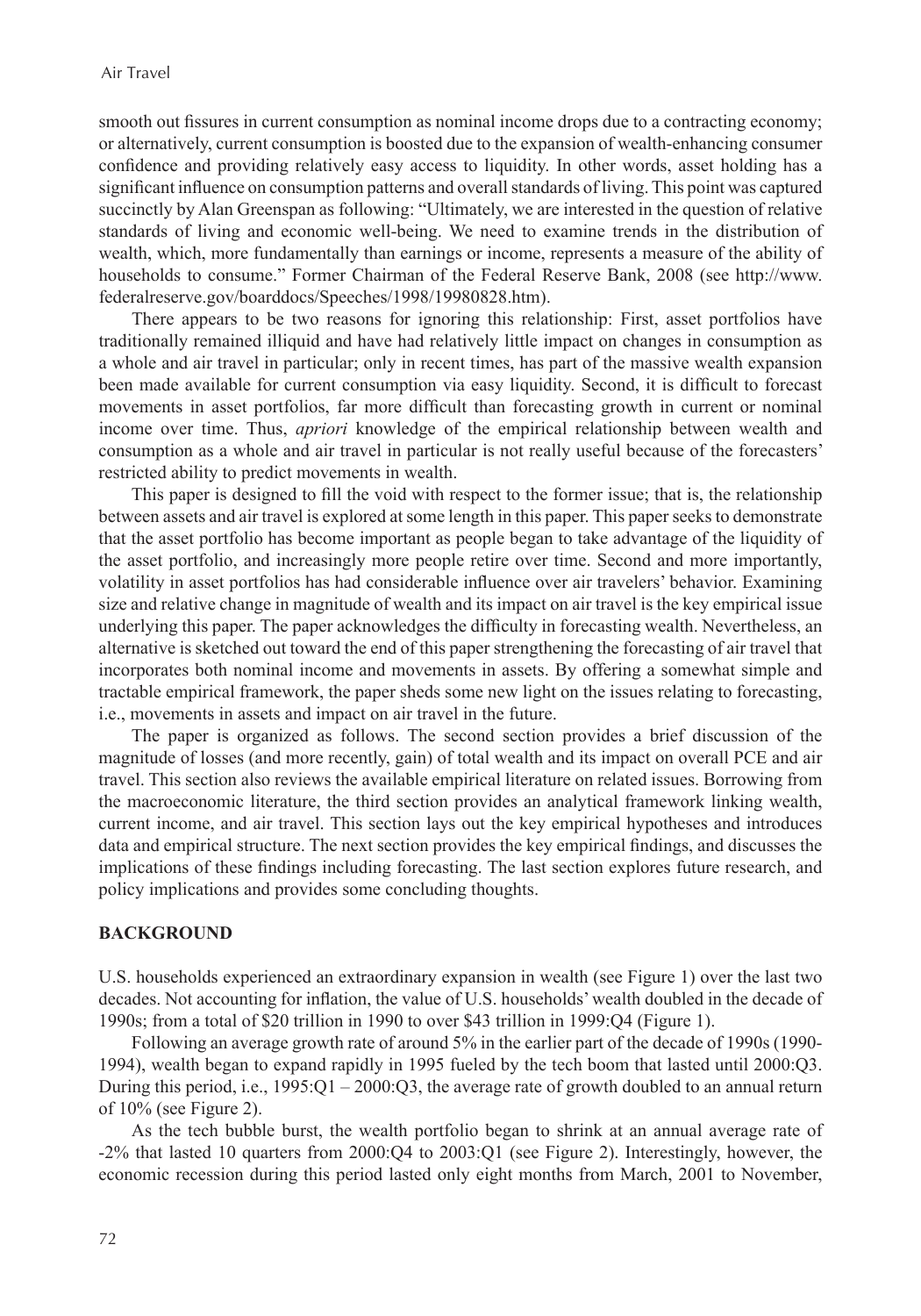smooth out fissures in current consumption as nominal income drops due to a contracting economy; or alternatively, current consumption is boosted due to the expansion of wealth-enhancing consumer confidence and providing relatively easy access to liquidity. In other words, asset holding has a significant influence on consumption patterns and overall standards of living. This point was captured succinctly by Alan Greenspan as following: "Ultimately, we are interested in the question of relative standards of living and economic well-being. We need to examine trends in the distribution of wealth, which, more fundamentally than earnings or income, represents a measure of the ability of households to consume." Former Chairman of the Federal Reserve Bank, 2008 (see http://www. federalreserve.gov/boarddocs/Speeches/1998/19980828.htm).

There appears to be two reasons for ignoring this relationship: First, asset portfolios have traditionally remained illiquid and have had relatively little impact on changes in consumption as a whole and air travel in particular; only in recent times, has part of the massive wealth expansion been made available for current consumption via easy liquidity. Second, it is difficult to forecast movements in asset portfolios, far more difficult than forecasting growth in current or nominal income over time. Thus, *apriori* knowledge of the empirical relationship between wealth and consumption as a whole and air travel in particular is not really useful because of the forecasters' restricted ability to predict movements in wealth.

This paper is designed to fill the void with respect to the former issue; that is, the relationship between assets and air travel is explored at some length in this paper. This paper seeks to demonstrate that the asset portfolio has become important as people began to take advantage of the liquidity of the asset portfolio, and increasingly more people retire over time. Second and more importantly, volatility in asset portfolios has had considerable influence over air travelers' behavior. Examining size and relative change in magnitude of wealth and its impact on air travel is the key empirical issue underlying this paper. The paper acknowledges the difficulty in forecasting wealth. Nevertheless, an alternative is sketched out toward the end of this paper strengthening the forecasting of air travel that incorporates both nominal income and movements in assets. By offering a somewhat simple and tractable empirical framework, the paper sheds some new light on the issues relating to forecasting, i.e., movements in assets and impact on air travel in the future.

The paper is organized as follows. The second section provides a brief discussion of the magnitude of losses (and more recently, gain) of total wealth and its impact on overall PCE and air travel. This section also reviews the available empirical literature on related issues. Borrowing from the macroeconomic literature, the third section provides an analytical framework linking wealth, current income, and air travel. This section lays out the key empirical hypotheses and introduces data and empirical structure. The next section provides the key empirical findings, and discusses the implications of these findings including forecasting. The last section explores future research, and policy implications and provides some concluding thoughts.

#### **BACKGROUND**

U.S. households experienced an extraordinary expansion in wealth (see Figure 1) over the last two decades. Not accounting for inflation, the value of U.S. households' wealth doubled in the decade of 1990s; from a total of \$20 trillion in 1990 to over \$43 trillion in 1999:Q4 (Figure 1).

Following an average growth rate of around 5% in the earlier part of the decade of 1990s (1990- 1994), wealth began to expand rapidly in 1995 fueled by the tech boom that lasted until 2000:Q3. During this period, i.e.,  $1995:Q1 - 2000:Q3$ , the average rate of growth doubled to an annual return of 10% (see Figure 2).

As the tech bubble burst, the wealth portfolio began to shrink at an annual average rate of -2% that lasted 10 quarters from 2000:Q4 to 2003:Q1 (see Figure 2). Interestingly, however, the economic recession during this period lasted only eight months from March, 2001 to November,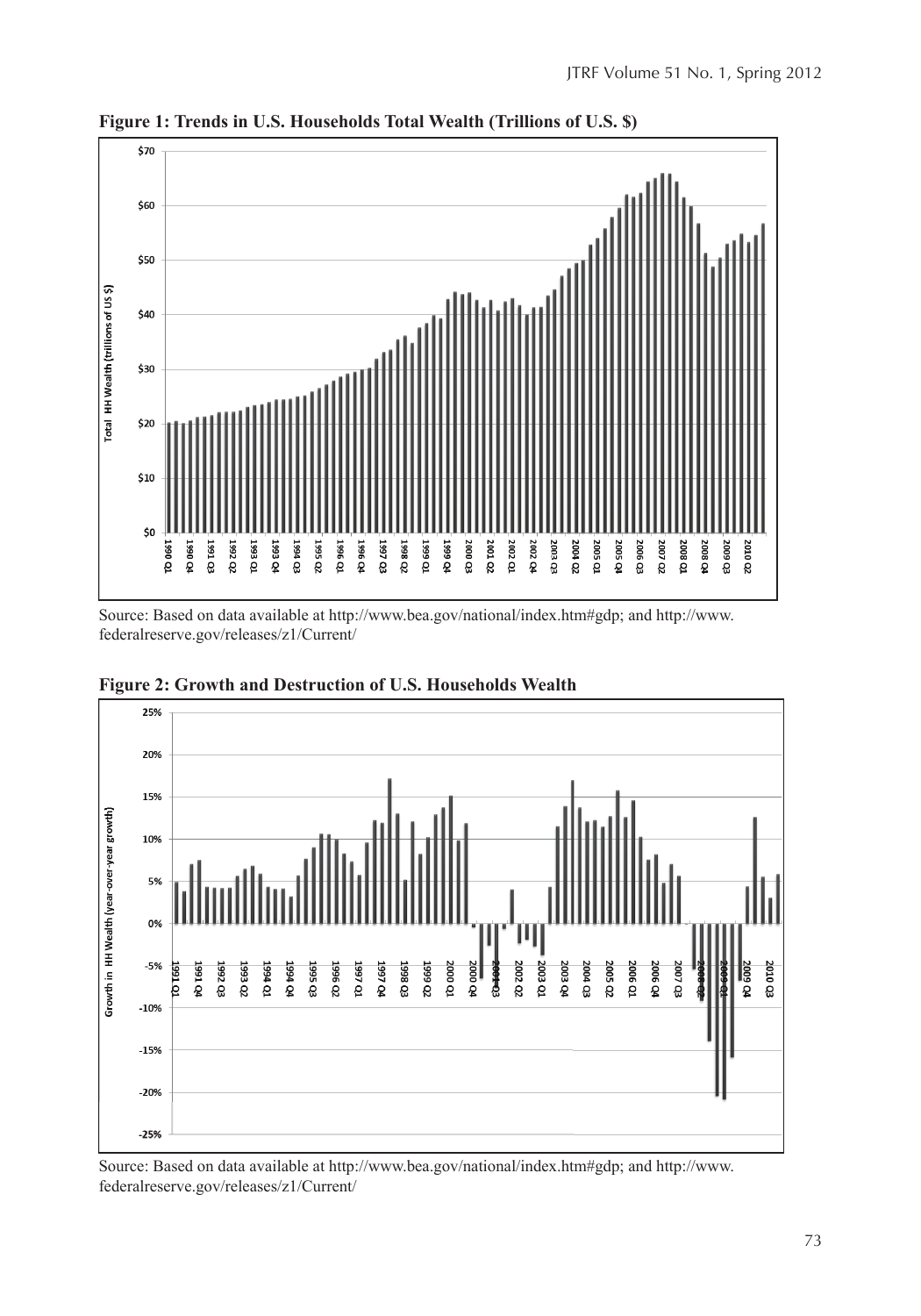

**Figure 1: Trends in U.S. Households Total Wealth (Trillions of U.S. \$)**

Source: Based on data available at http://www.bea.gov/national/index.htm#gdp; and http://www. federalreserve.gov/releases/z1/Current/



**Figure 2: Growth and Destruction of U.S. Households Wealth**

Source: Based on data available at http://www.bea.gov/national/index.htm#gdp; and http://www. federalreserve.gov/releases/z1/Current/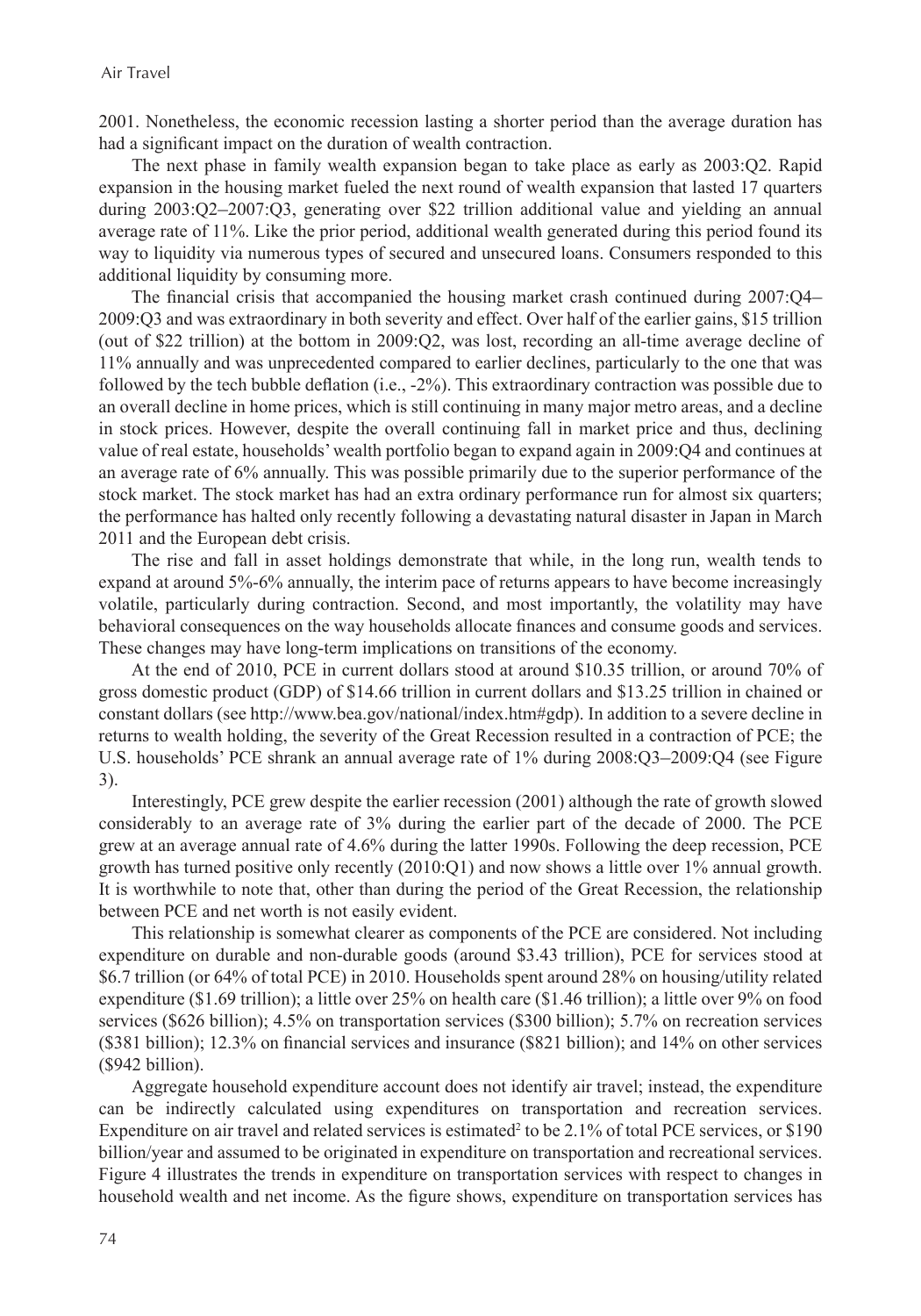2001. Nonetheless, the economic recession lasting a shorter period than the average duration has had a significant impact on the duration of wealth contraction.

The next phase in family wealth expansion began to take place as early as 2003:Q2. Rapid expansion in the housing market fueled the next round of wealth expansion that lasted 17 quarters during 2003:Q2–2007:Q3, generating over \$22 trillion additional value and yielding an annual average rate of 11%. Like the prior period, additional wealth generated during this period found its way to liquidity via numerous types of secured and unsecured loans. Consumers responded to this additional liquidity by consuming more.

The financial crisis that accompanied the housing market crash continued during 2007:Q4– 2009:Q3 and was extraordinary in both severity and effect. Over half of the earlier gains, \$15 trillion (out of \$22 trillion) at the bottom in 2009:Q2, was lost, recording an all-time average decline of 11% annually and was unprecedented compared to earlier declines, particularly to the one that was followed by the tech bubble deflation (i.e., -2%). This extraordinary contraction was possible due to an overall decline in home prices, which is still continuing in many major metro areas, and a decline in stock prices. However, despite the overall continuing fall in market price and thus, declining value of real estate, households' wealth portfolio began to expand again in 2009:Q4 and continues at an average rate of 6% annually. This was possible primarily due to the superior performance of the stock market. The stock market has had an extra ordinary performance run for almost six quarters; the performance has halted only recently following a devastating natural disaster in Japan in March 2011 and the European debt crisis.

The rise and fall in asset holdings demonstrate that while, in the long run, wealth tends to expand at around 5%-6% annually, the interim pace of returns appears to have become increasingly volatile, particularly during contraction. Second, and most importantly, the volatility may have behavioral consequences on the way households allocate finances and consume goods and services. These changes may have long-term implications on transitions of the economy.

At the end of 2010, PCE in current dollars stood at around \$10.35 trillion, or around 70% of gross domestic product (GDP) of \$14.66 trillion in current dollars and \$13.25 trillion in chained or constant dollars (see http://www.bea.gov/national/index.htm#gdp). In addition to a severe decline in returns to wealth holding, the severity of the Great Recession resulted in a contraction of PCE; the U.S. households' PCE shrank an annual average rate of 1% during 2008:Q3–2009:Q4 (see Figure 3).

Interestingly, PCE grew despite the earlier recession (2001) although the rate of growth slowed considerably to an average rate of 3% during the earlier part of the decade of 2000. The PCE grew at an average annual rate of 4.6% during the latter 1990s. Following the deep recession, PCE growth has turned positive only recently  $(2010:Q1)$  and now shows a little over 1% annual growth. It is worthwhile to note that, other than during the period of the Great Recession, the relationship between PCE and net worth is not easily evident.

This relationship is somewhat clearer as components of the PCE are considered. Not including expenditure on durable and non-durable goods (around \$3.43 trillion), PCE for services stood at \$6.7 trillion (or 64% of total PCE) in 2010. Households spent around 28% on housing/utility related expenditure (\$1.69 trillion); a little over 25% on health care (\$1.46 trillion); a little over 9% on food services (\$626 billion); 4.5% on transportation services (\$300 billion); 5.7% on recreation services (\$381 billion); 12.3% on financial services and insurance (\$821 billion); and 14% on other services (\$942 billion).

Aggregate household expenditure account does not identify air travel; instead, the expenditure can be indirectly calculated using expenditures on transportation and recreation services. Expenditure on air travel and related services is estimated<sup>2</sup> to be 2.1% of total PCE services, or \$190 billion/year and assumed to be originated in expenditure on transportation and recreational services. Figure 4 illustrates the trends in expenditure on transportation services with respect to changes in household wealth and net income. As the figure shows, expenditure on transportation services has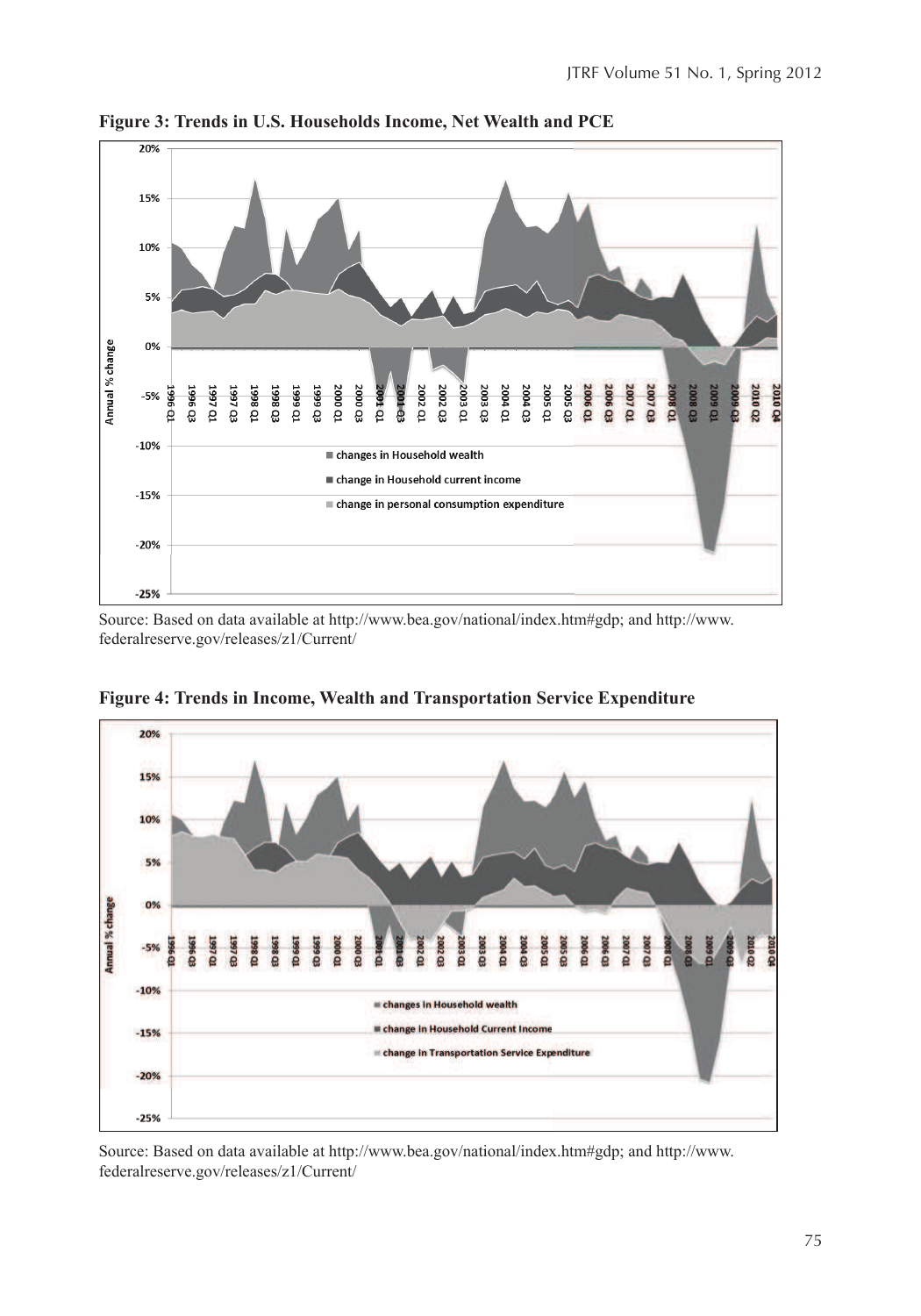

**Figure 3: Trends in U.S. Households Income, Net Wealth and PCE**

Source: Based on data available at http://www.bea.gov/national/index.htm#gdp; and http://www. federalreserve.gov/releases/z1/Current/



**Figure 4: Trends in Income, Wealth and Transportation Service Expenditure**

Source: Based on data available at http://www.bea.gov/national/index.htm#gdp; and http://www. federalreserve.gov/releases/z1/Current/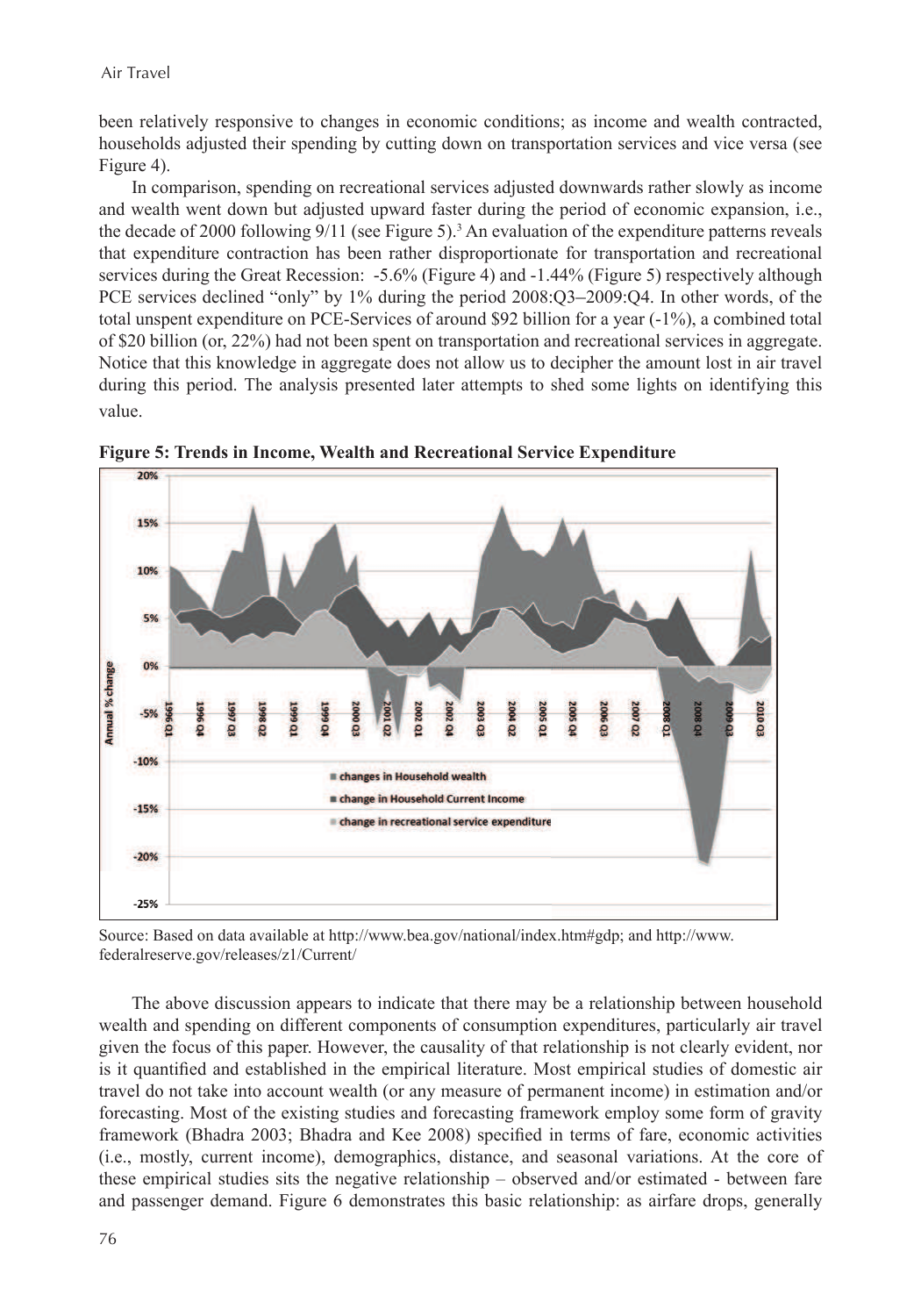been relatively responsive to changes in economic conditions; as income and wealth contracted, households adjusted their spending by cutting down on transportation services and vice versa (see Figure 4).

In comparison, spending on recreational services adjusted downwards rather slowly as income and wealth went down but adjusted upward faster during the period of economic expansion, i.e., the decade of 2000 following 9/11 (see Figure 5).<sup>3</sup> An evaluation of the expenditure patterns reveals that expenditure contraction has been rather disproportionate for transportation and recreational services during the Great Recession: -5.6% (Figure 4) and -1.44% (Figure 5) respectively although PCE services declined "only" by 1% during the period  $2008:Q3-2009:Q4$ . In other words, of the total unspent expenditure on PCE-Services of around \$92 billion for a year (-1%), a combined total of \$20 billion (or, 22%) had not been spent on transportation and recreational services in aggregate. Notice that this knowledge in aggregate does not allow us to decipher the amount lost in air travel during this period. The analysis presented later attempts to shed some lights on identifying this value.



**Figure 5: Trends in Income, Wealth and Recreational Service Expenditure**

Source: Based on data available at http://www.bea.gov/national/index.htm#gdp; and http://www. federalreserve.gov/releases/z1/Current/

The above discussion appears to indicate that there may be a relationship between household wealth and spending on different components of consumption expenditures, particularly air travel given the focus of this paper. However, the causality of that relationship is not clearly evident, nor is it quantified and established in the empirical literature. Most empirical studies of domestic air travel do not take into account wealth (or any measure of permanent income) in estimation and/or forecasting. Most of the existing studies and forecasting framework employ some form of gravity framework (Bhadra 2003; Bhadra and Kee 2008) specified in terms of fare, economic activities (i.e., mostly, current income), demographics, distance, and seasonal variations. At the core of these empirical studies sits the negative relationship – observed and/or estimated - between fare and passenger demand. Figure 6 demonstrates this basic relationship: as airfare drops, generally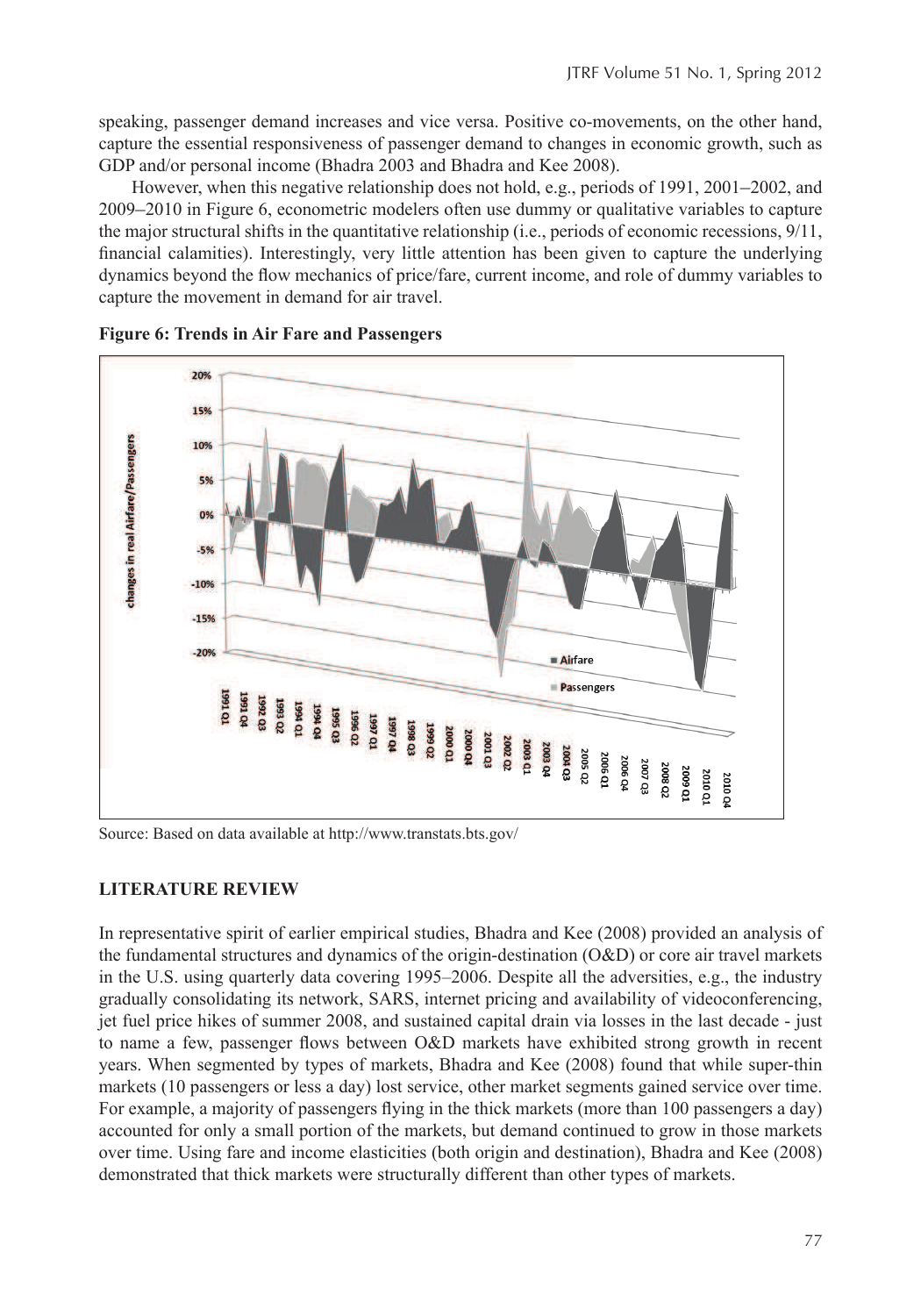speaking, passenger demand increases and vice versa. Positive co-movements, on the other hand, capture the essential responsiveness of passenger demand to changes in economic growth, such as GDP and/or personal income (Bhadra 2003 and Bhadra and Kee 2008).

However, when this negative relationship does not hold, e.g., periods of 1991, 2001–2002, and 2009–2010 in Figure 6, econometric modelers often use dummy or qualitative variables to capture the major structural shifts in the quantitative relationship (i.e., periods of economic recessions, 9/11, financial calamities). Interestingly, very little attention has been given to capture the underlying dynamics beyond the flow mechanics of price/fare, current income, and role of dummy variables to capture the movement in demand for air travel.



**Figure 6: Trends in Air Fare and Passengers** 

Source: Based on data available at http://www.transtats.bts.gov/

## **LITERATURE REVIEW**

In representative spirit of earlier empirical studies, Bhadra and Kee (2008) provided an analysis of the fundamental structures and dynamics of the origin-destination  $(O&D)$  or core air travel markets in the U.S. using quarterly data covering 1995–2006. Despite all the adversities, e.g., the industry gradually consolidating its network, SARS, internet pricing and availability of videoconferencing, jet fuel price hikes of summer 2008, and sustained capital drain via losses in the last decade - just to name a few, passenger flows between O&D markets have exhibited strong growth in recent years. When segmented by types of markets, Bhadra and Kee (2008) found that while super-thin markets (10 passengers or less a day) lost service, other market segments gained service over time. For example, a majority of passengers flying in the thick markets (more than 100 passengers a day) accounted for only a small portion of the markets, but demand continued to grow in those markets over time. Using fare and income elasticities (both origin and destination), Bhadra and Kee (2008) demonstrated that thick markets were structurally different than other types of markets.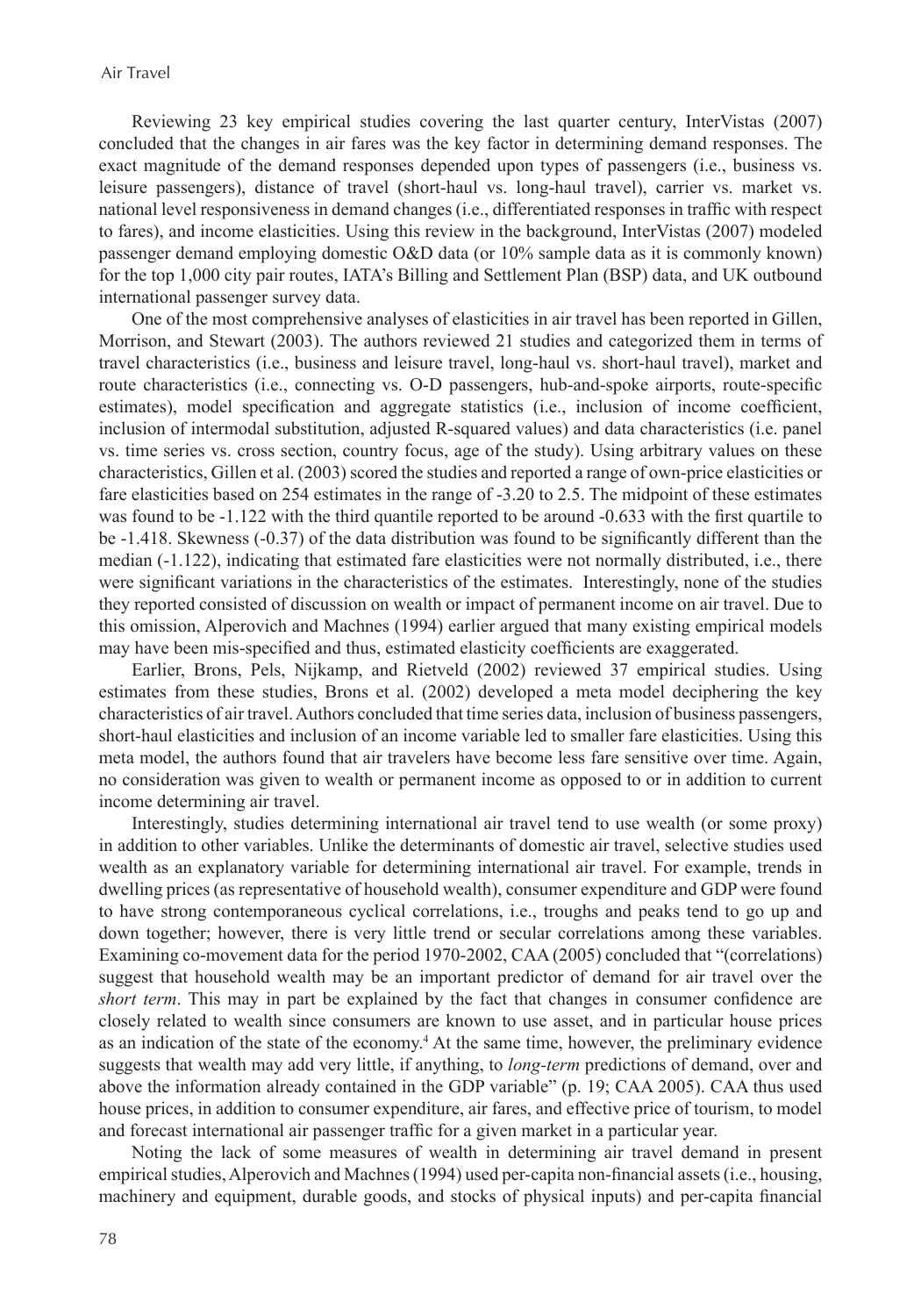Reviewing 23 key empirical studies covering the last quarter century, InterVistas (2007) concluded that the changes in air fares was the key factor in determining demand responses. The exact magnitude of the demand responses depended upon types of passengers (i.e., business vs. leisure passengers), distance of travel (short-haul vs. long-haul travel), carrier vs. market vs. national level responsiveness in demand changes (i.e., differentiated responses in traffic with respect to fares), and income elasticities. Using this review in the background, InterVistas (2007) modeled passenger demand employing domestic O&D data (or 10% sample data as it is commonly known) for the top 1,000 city pair routes, IATA's Billing and Settlement Plan (BSP) data, and UK outbound international passenger survey data.

One of the most comprehensive analyses of elasticities in air travel has been reported in Gillen, Morrison, and Stewart (2003). The authors reviewed 21 studies and categorized them in terms of travel characteristics (i.e., business and leisure travel, long-haul vs. short-haul travel), market and route characteristics (i.e., connecting vs. O-D passengers, hub-and-spoke airports, route-specific estimates), model specification and aggregate statistics (i.e., inclusion of income coefficient, inclusion of intermodal substitution, adjusted R-squared values) and data characteristics (i.e. panel vs. time series vs. cross section, country focus, age of the study). Using arbitrary values on these characteristics, Gillen et al. (2003) scored the studies and reported a range of own-price elasticities or fare elasticities based on 254 estimates in the range of -3.20 to 2.5. The midpoint of these estimates was found to be -1.122 with the third quantile reported to be around -0.633 with the first quartile to be -1.418. Skewness (-0.37) of the data distribution was found to be significantly different than the median (-1.122), indicating that estimated fare elasticities were not normally distributed, i.e., there were significant variations in the characteristics of the estimates. Interestingly, none of the studies they reported consisted of discussion on wealth or impact of permanent income on air travel. Due to this omission, Alperovich and Machnes (1994) earlier argued that many existing empirical models may have been mis-specified and thus, estimated elasticity coefficients are exaggerated.

Earlier, Brons, Pels, Nijkamp, and Rietveld (2002) reviewed 37 empirical studies. Using estimates from these studies, Brons et al. (2002) developed a meta model deciphering the key characteristics of air travel. Authors concluded that time series data, inclusion of business passengers, short-haul elasticities and inclusion of an income variable led to smaller fare elasticities. Using this meta model, the authors found that air travelers have become less fare sensitive over time. Again, no consideration was given to wealth or permanent income as opposed to or in addition to current income determining air travel.

Interestingly, studies determining international air travel tend to use wealth (or some proxy) in addition to other variables. Unlike the determinants of domestic air travel, selective studies used wealth as an explanatory variable for determining international air travel. For example, trends in dwelling prices (as representative of household wealth), consumer expenditure and GDP were found to have strong contemporaneous cyclical correlations, i.e., troughs and peaks tend to go up and down together; however, there is very little trend or secular correlations among these variables. Examining co-movement data for the period 1970-2002, CAA (2005) concluded that "(correlations) suggest that household wealth may be an important predictor of demand for air travel over the *short term*. This may in part be explained by the fact that changes in consumer confidence are closely related to wealth since consumers are known to use asset, and in particular house prices as an indication of the state of the economy.<sup>4</sup> At the same time, however, the preliminary evidence suggests that wealth may add very little, if anything, to *long-term* predictions of demand, over and above the information already contained in the GDP variable" (p. 19; CAA 2005). CAA thus used house prices, in addition to consumer expenditure, air fares, and effective price of tourism, to model and forecast international air passenger traffic for a given market in a particular year.

Noting the lack of some measures of wealth in determining air travel demand in present empirical studies, Alperovich and Machnes (1994) used per-capita non-financial assets (i.e., housing, machinery and equipment, durable goods, and stocks of physical inputs) and per-capita financial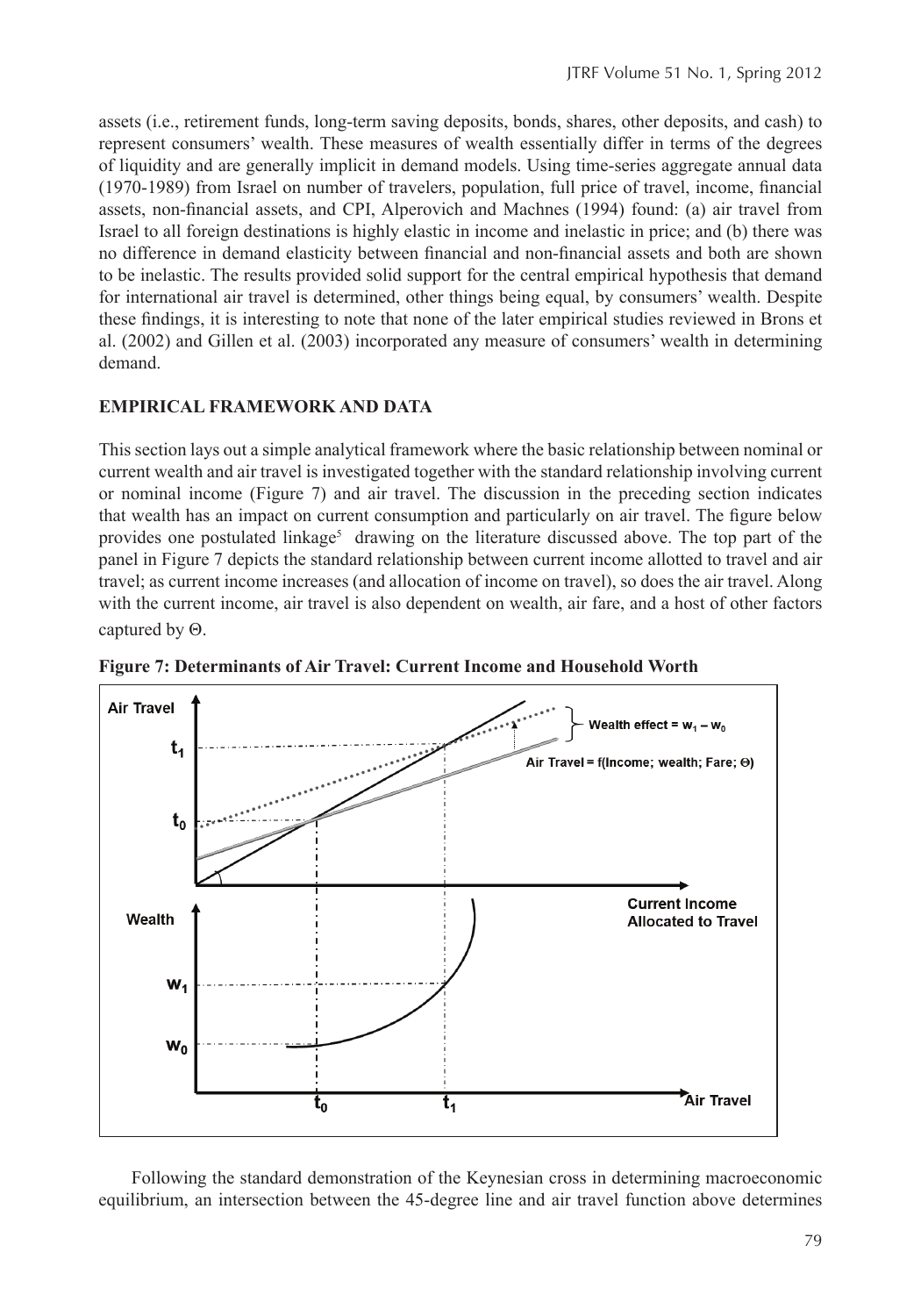assets (i.e., retirement funds, long-term saving deposits, bonds, shares, other deposits, and cash) to represent consumers' wealth. These measures of wealth essentially differ in terms of the degrees of liquidity and are generally implicit in demand models. Using time-series aggregate annual data (1970-1989) from Israel on number of travelers, population, full price of travel, income, financial assets, non-financial assets, and CPI, Alperovich and Machnes (1994) found: (a) air travel from Israel to all foreign destinations is highly elastic in income and inelastic in price; and (b) there was no difference in demand elasticity between financial and non-financial assets and both are shown to be inelastic. The results provided solid support for the central empirical hypothesis that demand for international air travel is determined, other things being equal, by consumers' wealth. Despite these findings, it is interesting to note that none of the later empirical studies reviewed in Brons et al. (2002) and Gillen et al. (2003) incorporated any measure of consumers' wealth in determining demand.

## **EMPIRICAL FRAMEWORK AND DATA**

This section lays out a simple analytical framework where the basic relationship between nominal or current wealth and air travel is investigated together with the standard relationship involving current or nominal income (Figure 7) and air travel. The discussion in the preceding section indicates that wealth has an impact on current consumption and particularly on air travel. The figure below provides one postulated linkage<sup>5</sup> drawing on the literature discussed above. The top part of the panel in Figure 7 depicts the standard relationship between current income allotted to travel and air travel; as current income increases (and allocation of income on travel), so does the air travel. Along with the current income, air travel is also dependent on wealth, air fare, and a host of other factors captured by Θ.



**Figure 7: Determinants of Air Travel: Current Income and Household Worth**

Following the standard demonstration of the Keynesian cross in determining macroeconomic equilibrium, an intersection between the 45-degree line and air travel function above determines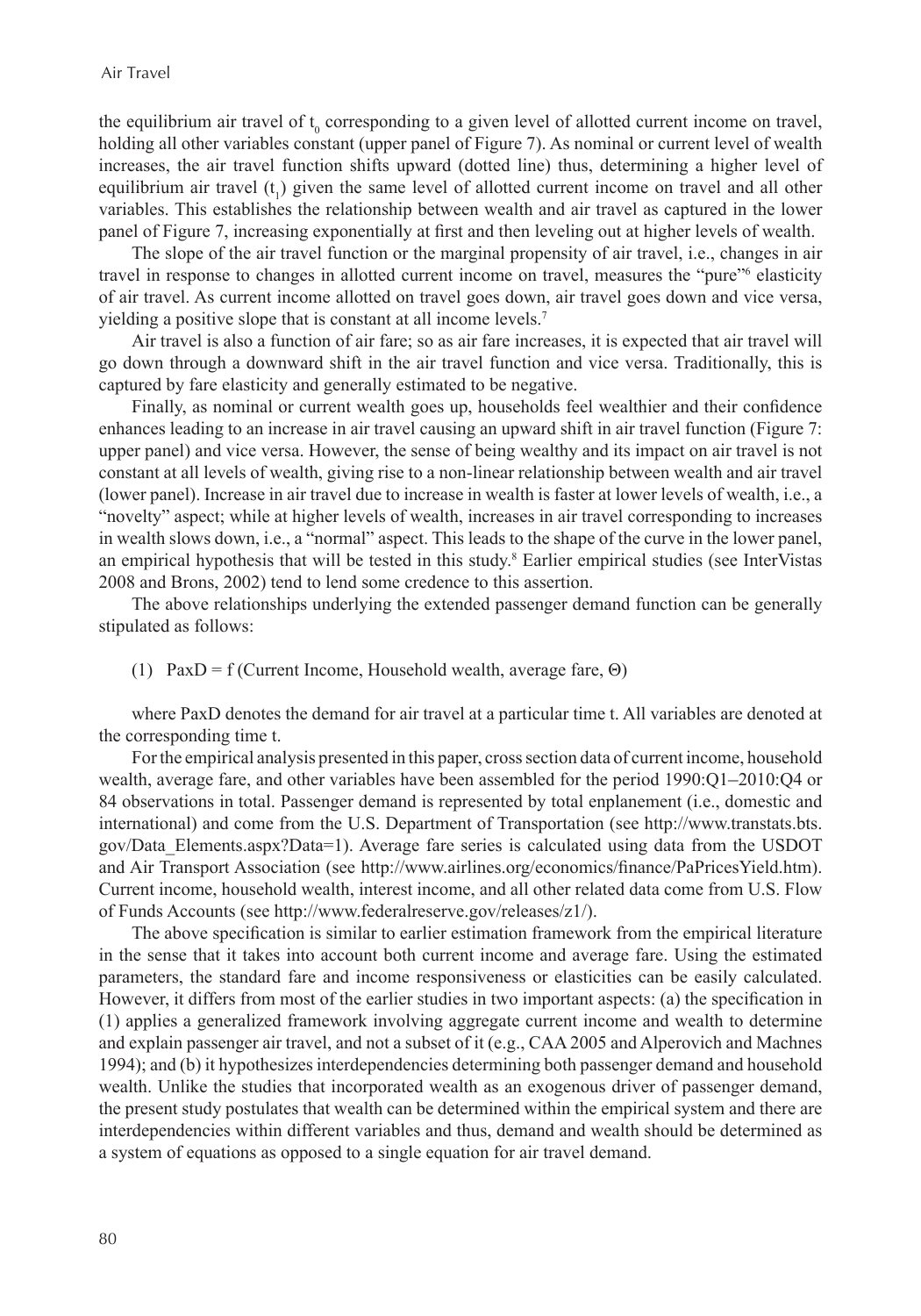the equilibrium air travel of  $t_0$  corresponding to a given level of allotted current income on travel, holding all other variables constant (upper panel of Figure 7). As nominal or current level of wealth increases, the air travel function shifts upward (dotted line) thus, determining a higher level of equilibrium air travel  $(t_1)$  given the same level of allotted current income on travel and all other variables. This establishes the relationship between wealth and air travel as captured in the lower panel of Figure 7, increasing exponentially at first and then leveling out at higher levels of wealth.

The slope of the air travel function or the marginal propensity of air travel, i.e., changes in air travel in response to changes in allotted current income on travel, measures the "pure" elasticity of air travel. As current income allotted on travel goes down, air travel goes down and vice versa, yielding a positive slope that is constant at all income levels.<sup>7</sup>

Air travel is also a function of air fare; so as air fare increases, it is expected that air travel will go down through a downward shift in the air travel function and vice versa. Traditionally, this is captured by fare elasticity and generally estimated to be negative.

Finally, as nominal or current wealth goes up, households feel wealthier and their confidence enhances leading to an increase in air travel causing an upward shift in air travel function (Figure 7: upper panel) and vice versa. However, the sense of being wealthy and its impact on air travel is not constant at all levels of wealth, giving rise to a non-linear relationship between wealth and air travel (lower panel). Increase in air travel due to increase in wealth is faster at lower levels of wealth, i.e., a "novelty" aspect; while at higher levels of wealth, increases in air travel corresponding to increases in wealth slows down, i.e., a "normal" aspect. This leads to the shape of the curve in the lower panel, an empirical hypothesis that will be tested in this study.<sup>8</sup> Earlier empirical studies (see InterVistas 2008 and Brons, 2002) tend to lend some credence to this assertion.

The above relationships underlying the extended passenger demand function can be generally stipulated as follows:

(1) PaxD = f (Current Income, Household wealth, average fare,  $\Theta$ )

where PaxD denotes the demand for air travel at a particular time t. All variables are denoted at the corresponding time t.

For the empirical analysis presented in this paper, cross section data of current income, household wealth, average fare, and other variables have been assembled for the period 1990:Q1–2010:Q4 or 84 observations in total. Passenger demand is represented by total enplanement (i.e., domestic and international) and come from the U.S. Department of Transportation (see http://www.transtats.bts. gov/Data\_Elements.aspx?Data=1). Average fare series is calculated using data from the USDOT and Air Transport Association (see http://www.airlines.org/economics/finance/PaPricesYield.htm). Current income, household wealth, interest income, and all other related data come from U.S. Flow of Funds Accounts (see http://www.federalreserve.gov/releases/z1/).

The above specification is similar to earlier estimation framework from the empirical literature in the sense that it takes into account both current income and average fare. Using the estimated parameters, the standard fare and income responsiveness or elasticities can be easily calculated. However, it differs from most of the earlier studies in two important aspects: (a) the specification in (1) applies a generalized framework involving aggregate current income and wealth to determine and explain passenger air travel, and not a subset of it (e.g., CAA 2005 and Alperovich and Machnes 1994); and (b) it hypothesizes interdependencies determining both passenger demand and household wealth. Unlike the studies that incorporated wealth as an exogenous driver of passenger demand, the present study postulates that wealth can be determined within the empirical system and there are interdependencies within different variables and thus, demand and wealth should be determined as a system of equations as opposed to a single equation for air travel demand.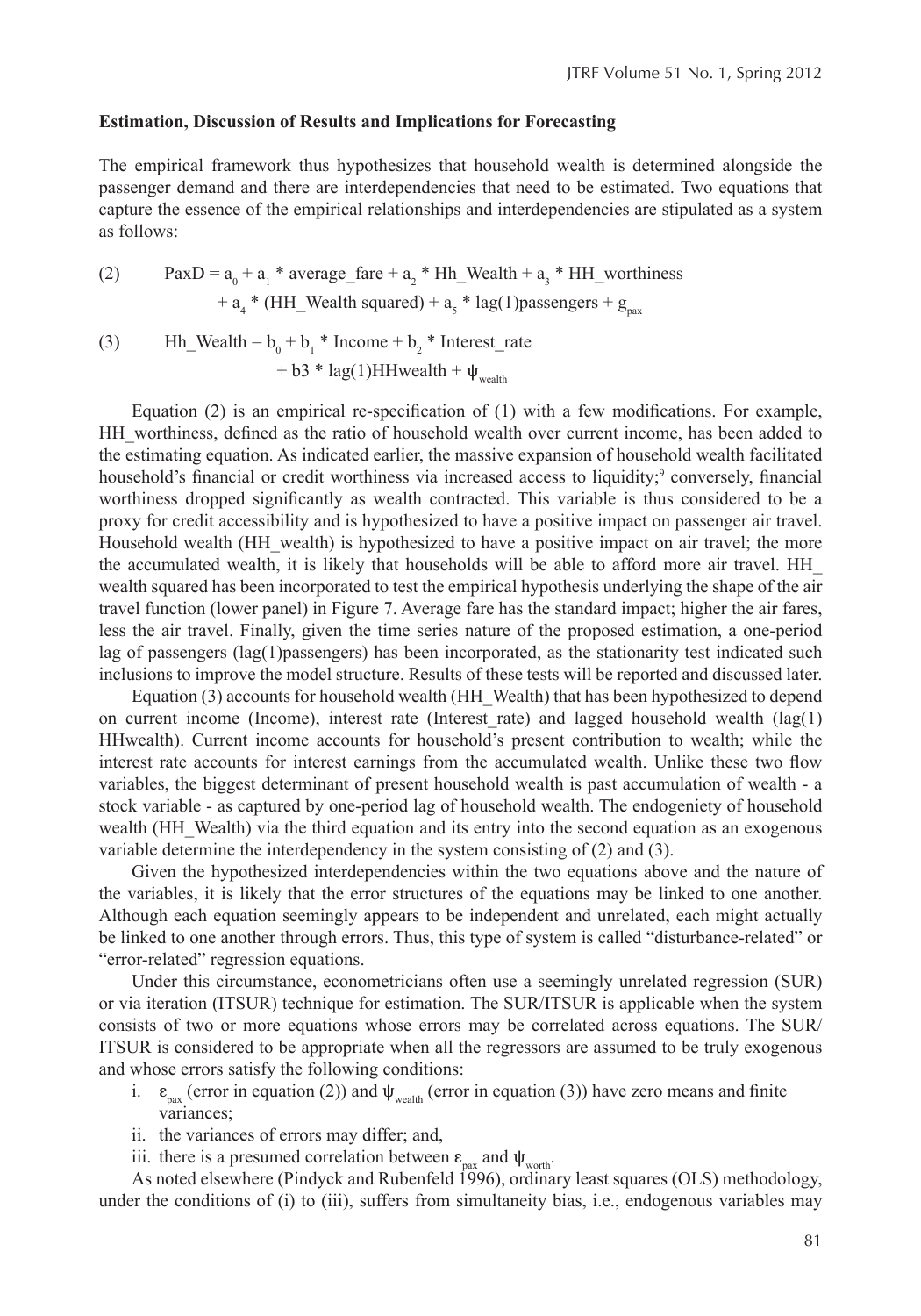#### **Estimation, Discussion of Results and Implications for Forecasting**

The empirical framework thus hypothesizes that household wealth is determined alongside the passenger demand and there are interdependencies that need to be estimated. Two equations that capture the essence of the empirical relationships and interdependencies are stipulated as a system as follows:

(2) 
$$
PaxD = a_0 + a_1 * average\_fare + a_2 * Hh\_Weakh + a_3 * HH\_worthiness + a_4 * (HH\_Weakh squared) + a_5 * lag(1) passengers + g_{\text{pax}}
$$

(3) Hh\_Wealth =  $b_0 + b_1$  \* Income +  $b_2$  \* Interest\_rate + b3 \* lag(1)HHwealth +  $\Psi_{\text{weak}}$ 

Equation  $(2)$  is an empirical re-specification of  $(1)$  with a few modifications. For example, HH\_worthiness, defined as the ratio of household wealth over current income, has been added to the estimating equation. As indicated earlier, the massive expansion of household wealth facilitated household's financial or credit worthiness via increased access to liquidity;<sup>9</sup> conversely, financial worthiness dropped significantly as wealth contracted. This variable is thus considered to be a proxy for credit accessibility and is hypothesized to have a positive impact on passenger air travel. Household wealth (HH\_wealth) is hypothesized to have a positive impact on air travel; the more the accumulated wealth, it is likely that households will be able to afford more air travel. HH\_ wealth squared has been incorporated to test the empirical hypothesis underlying the shape of the air travel function (lower panel) in Figure 7. Average fare has the standard impact; higher the air fares, less the air travel. Finally, given the time series nature of the proposed estimation, a one-period lag of passengers (lag(1)passengers) has been incorporated, as the stationarity test indicated such inclusions to improve the model structure. Results of these tests will be reported and discussed later.

Equation (3) accounts for household wealth (HH\_Wealth) that has been hypothesized to depend on current income (Income), interest rate (Interest rate) and lagged household wealth  $(\text{lag}(1))$ HHwealth). Current income accounts for household's present contribution to wealth; while the interest rate accounts for interest earnings from the accumulated wealth. Unlike these two flow variables, the biggest determinant of present household wealth is past accumulation of wealth - a stock variable - as captured by one-period lag of household wealth. The endogeniety of household wealth (HH Wealth) via the third equation and its entry into the second equation as an exogenous variable determine the interdependency in the system consisting of  $(2)$  and  $(3)$ .

Given the hypothesized interdependencies within the two equations above and the nature of the variables, it is likely that the error structures of the equations may be linked to one another. Although each equation seemingly appears to be independent and unrelated, each might actually be linked to one another through errors. Thus, this type of system is called "disturbance-related" or "error-related" regression equations.

Under this circumstance, econometricians often use a seemingly unrelated regression (SUR) or via iteration (ITSUR) technique for estimation. The SUR/ITSUR is applicable when the system consists of two or more equations whose errors may be correlated across equations. The SUR/ ITSUR is considered to be appropriate when all the regressors are assumed to be truly exogenous and whose errors satisfy the following conditions:

- i.  $\epsilon_{\text{pax}}$  (error in equation (2)) and  $\psi_{\text{wealth}}$  (error in equation (3)) have zero means and finite variances;
- ii. the variances of errors may differ; and,
- iii. there is a presumed correlation between  $\varepsilon_{\text{par}}$  and  $\Psi_{\text{worth}}$ .

As noted elsewhere (Pindyck and Rubenfeld 1996), ordinary least squares (OLS) methodology, under the conditions of (i) to (iii), suffers from simultaneity bias, i.e., endogenous variables may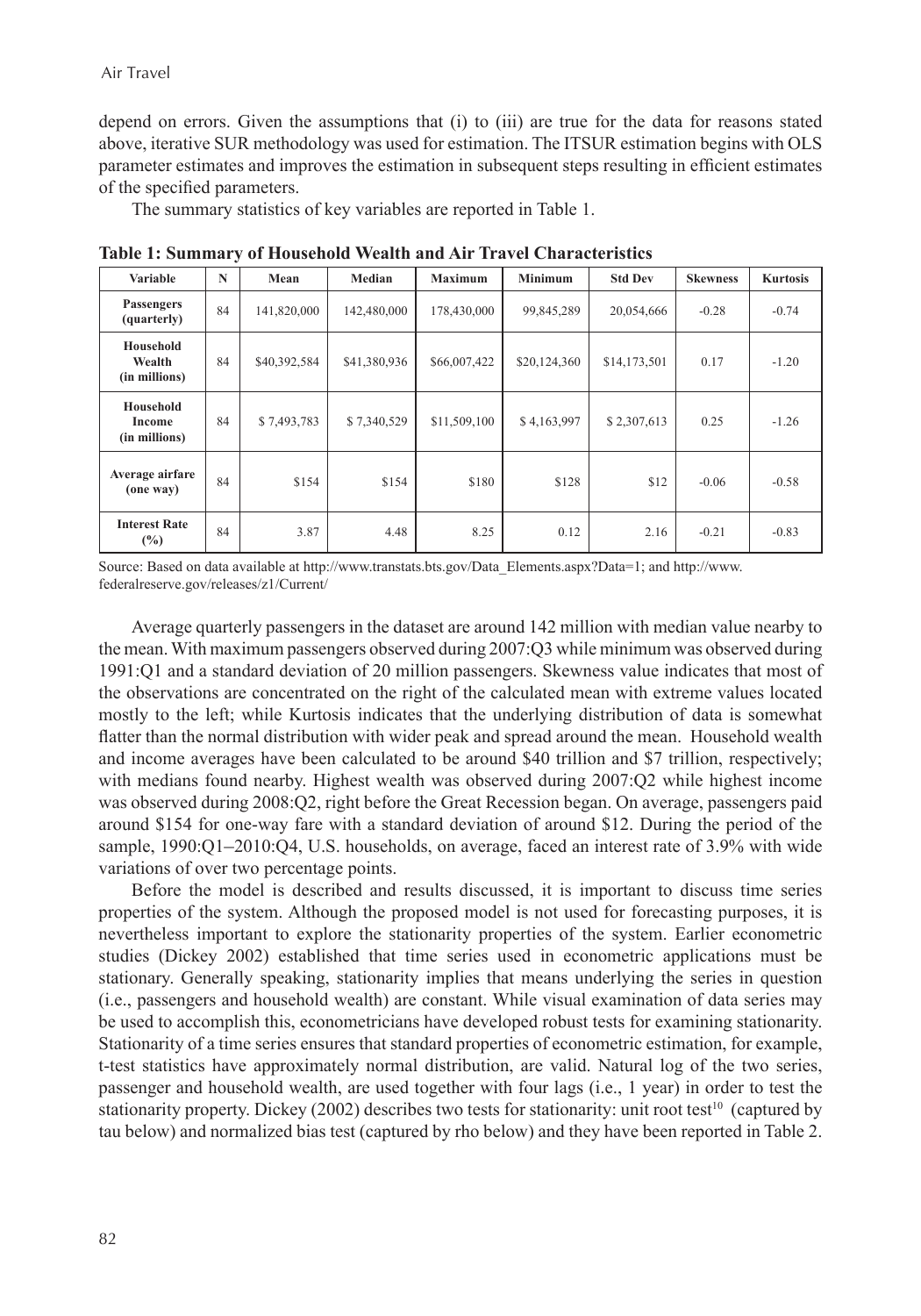depend on errors. Given the assumptions that (i) to (iii) are true for the data for reasons stated above, iterative SUR methodology was used for estimation. The ITSUR estimation begins with OLS parameter estimates and improves the estimation in subsequent steps resulting in efficient estimates of the specified parameters.

The summary statistics of key variables are reported in Table 1.

| <b>Variable</b>                       | $\mathbf N$ | Mean         | Median       | <b>Maximum</b> | <b>Minimum</b> | <b>Std Dev</b> | <b>Skewness</b> | <b>Kurtosis</b> |
|---------------------------------------|-------------|--------------|--------------|----------------|----------------|----------------|-----------------|-----------------|
| <b>Passengers</b><br>(quarterly)      | 84          | 141,820,000  | 142,480,000  | 178,430,000    | 99,845,289     | 20,054,666     | $-0.28$         | $-0.74$         |
| Household<br>Wealth<br>(in millions)  | 84          | \$40,392,584 | \$41,380,936 | \$66,007,422   | \$20,124,360   | \$14,173,501   | 0.17            | $-1.20$         |
| Household<br>Income<br>(in millions)  | 84          | \$7,493,783  | \$7,340,529  | \$11,509,100   | \$4,163,997    | \$2,307,613    | 0.25            | $-1.26$         |
| Average airfare<br>(one way)          | 84          | \$154        | \$154        | \$180          | \$128          | \$12           | $-0.06$         | $-0.58$         |
| <b>Interest Rate</b><br>$\frac{6}{2}$ | 84          | 3.87         | 4.48         | 8.25           | 0.12           | 2.16           | $-0.21$         | $-0.83$         |

**Table 1: Summary of Household Wealth and Air Travel Characteristics**

Source: Based on data available at http://www.transtats.bts.gov/Data\_Elements.aspx?Data=1; and http://www. federalreserve.gov/releases/z1/Current/

Average quarterly passengers in the dataset are around 142 million with median value nearby to the mean. With maximum passengers observed during 2007:Q3 while minimum was observed during 1991:Q1 and a standard deviation of 20 million passengers. Skewness value indicates that most of the observations are concentrated on the right of the calculated mean with extreme values located mostly to the left; while Kurtosis indicates that the underlying distribution of data is somewhat flatter than the normal distribution with wider peak and spread around the mean. Household wealth and income averages have been calculated to be around \$40 trillion and \$7 trillion, respectively; with medians found nearby. Highest wealth was observed during 2007:Q2 while highest income was observed during 2008:Q2, right before the Great Recession began. On average, passengers paid around \$154 for one-way fare with a standard deviation of around \$12. During the period of the sample, 1990:Q1–2010:Q4, U.S. households, on average, faced an interest rate of 3.9% with wide variations of over two percentage points.

Before the model is described and results discussed, it is important to discuss time series properties of the system. Although the proposed model is not used for forecasting purposes, it is nevertheless important to explore the stationarity properties of the system. Earlier econometric studies (Dickey 2002) established that time series used in econometric applications must be stationary. Generally speaking, stationarity implies that means underlying the series in question (i.e., passengers and household wealth) are constant. While visual examination of data series may be used to accomplish this, econometricians have developed robust tests for examining stationarity. Stationarity of a time series ensures that standard properties of econometric estimation, for example, t-test statistics have approximately normal distribution, are valid. Natural log of the two series, passenger and household wealth, are used together with four lags (i.e., 1 year) in order to test the stationarity property. Dickey (2002) describes two tests for stationarity: unit root test<sup>10</sup> (captured by tau below) and normalized bias test (captured by rho below) and they have been reported in Table 2.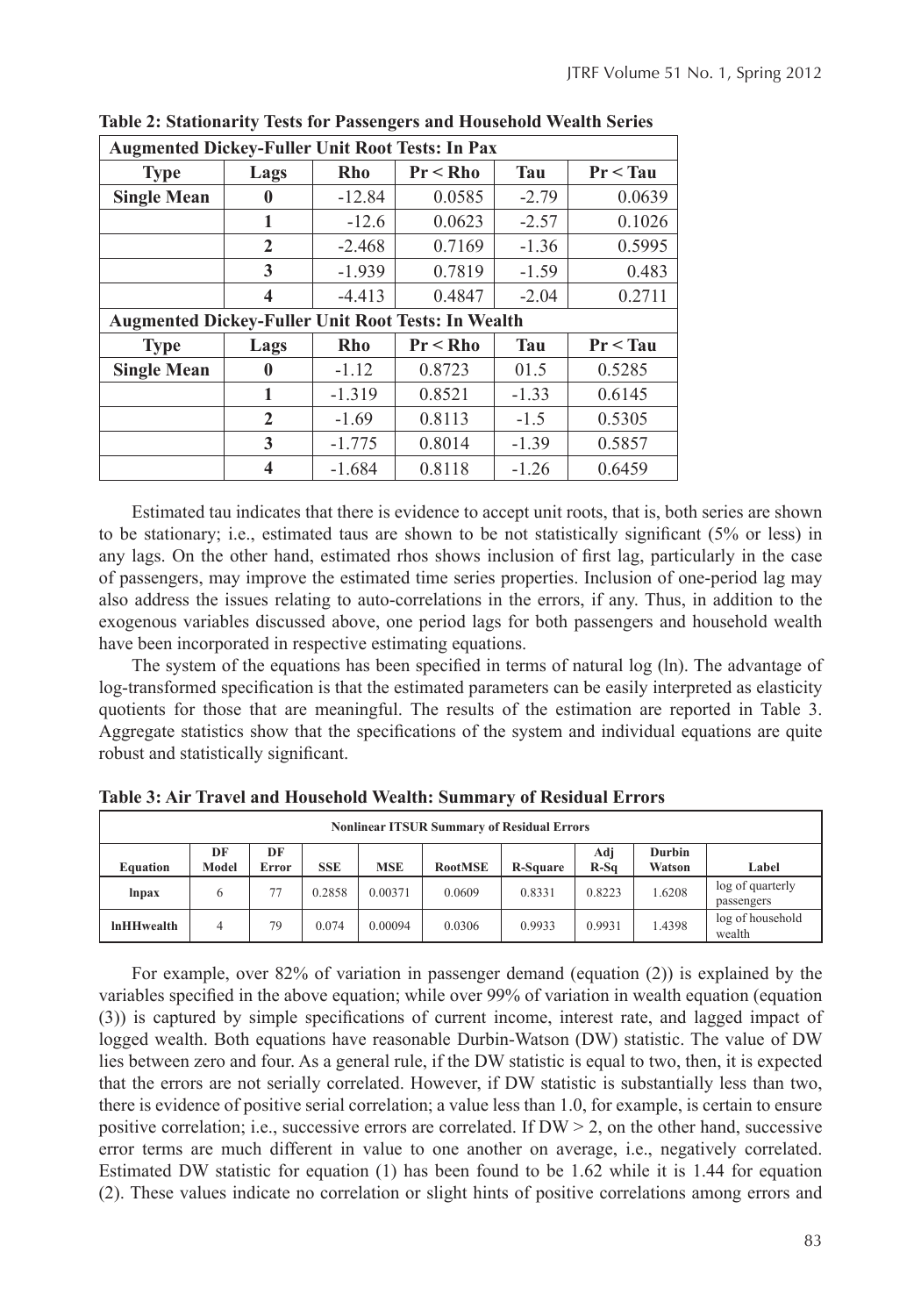| <b>Augmented Dickey-Fuller Unit Root Tests: In Pax</b> |                                                           |          |             |         |            |  |  |  |
|--------------------------------------------------------|-----------------------------------------------------------|----------|-------------|---------|------------|--|--|--|
| <b>Type</b>                                            | Lags                                                      | Rho      | $Pr < R$ ho | Tau     | Pr < Tau   |  |  |  |
| <b>Single Mean</b>                                     | $\mathbf{0}$                                              | $-12.84$ | 0.0585      | $-2.79$ | 0.0639     |  |  |  |
|                                                        | 1                                                         | $-12.6$  | 0.0623      | $-2.57$ | 0.1026     |  |  |  |
|                                                        | $\mathbf{2}$                                              | $-2.468$ | 0.7169      | $-1.36$ | 0.5995     |  |  |  |
|                                                        | 3                                                         | $-1.939$ | 0.7819      | $-1.59$ | 0.483      |  |  |  |
|                                                        | 4                                                         | $-4.413$ | 0.4847      | $-2.04$ | 0.2711     |  |  |  |
|                                                        | <b>Augmented Dickey-Fuller Unit Root Tests: In Wealth</b> |          |             |         |            |  |  |  |
| <b>Type</b>                                            | Lags                                                      | Rho      | $Pr < R$ ho | Tau     | $Pr <$ Tau |  |  |  |
| <b>Single Mean</b>                                     | $\mathbf{0}$                                              | $-1.12$  | 0.8723      | 01.5    | 0.5285     |  |  |  |
|                                                        | 1                                                         | $-1.319$ | 0.8521      | $-1.33$ | 0.6145     |  |  |  |
|                                                        | $\mathbf{2}$                                              | $-1.69$  | 0.8113      | $-1.5$  | 0.5305     |  |  |  |
|                                                        | 3                                                         | $-1.775$ | 0.8014      | $-1.39$ | 0.5857     |  |  |  |
|                                                        | 4                                                         | $-1.684$ | 0.8118      | $-1.26$ | 0.6459     |  |  |  |

**Table 2: Stationarity Tests for Passengers and Household Wealth Series**

Estimated tau indicates that there is evidence to accept unit roots, that is, both series are shown to be stationary; i.e., estimated taus are shown to be not statistically significant (5% or less) in any lags. On the other hand, estimated rhos shows inclusion of first lag, particularly in the case of passengers, may improve the estimated time series properties. Inclusion of one-period lag may also address the issues relating to auto-correlations in the errors, if any. Thus, in addition to the exogenous variables discussed above, one period lags for both passengers and household wealth have been incorporated in respective estimating equations.

The system of the equations has been specified in terms of natural log (ln). The advantage of log-transformed specification is that the estimated parameters can be easily interpreted as elasticity quotients for those that are meaningful. The results of the estimation are reported in Table 3. Aggregate statistics show that the specifications of the system and individual equations are quite robust and statistically significant.

| <b>Nonlinear ITSUR Summary of Residual Errors</b> |             |             |            |            |                |                 |               |                  |                                |
|---------------------------------------------------|-------------|-------------|------------|------------|----------------|-----------------|---------------|------------------|--------------------------------|
| Equation                                          | DF<br>Model | DF<br>Error | <b>SSE</b> | <b>MSE</b> | <b>RootMSE</b> | <b>R-Square</b> | Adj<br>$R-Sq$ | Durbin<br>Watson | Label                          |
| lnpax                                             | b           | 77          | 0.2858     | 0.00371    | 0.0609         | 0.8331          | 0.8223        | 1.6208           | log of quarterly<br>passengers |
| <b>InHHwealth</b>                                 | 4           | 79          | 0.074      | 0.00094    | 0.0306         | 0.9933          | 0.9931        | 1.4398           | log of household<br>wealth     |

**Table 3: Air Travel and Household Wealth: Summary of Residual Errors**

For example, over 82% of variation in passenger demand (equation (2)) is explained by the variables specified in the above equation; while over 99% of variation in wealth equation (equation (3)) is captured by simple specifications of current income, interest rate, and lagged impact of logged wealth. Both equations have reasonable Durbin-Watson (DW) statistic. The value of DW lies between zero and four. As a general rule, if the DW statistic is equal to two, then, it is expected that the errors are not serially correlated. However, if DW statistic is substantially less than two, there is evidence of positive serial correlation; a value less than 1.0, for example, is certain to ensure positive correlation; i.e., successive errors are correlated. If  $DW > 2$ , on the other hand, successive error terms are much different in value to one another on average, i.e., negatively correlated. Estimated DW statistic for equation (1) has been found to be 1.62 while it is 1.44 for equation (2). These values indicate no correlation or slight hints of positive correlations among errors and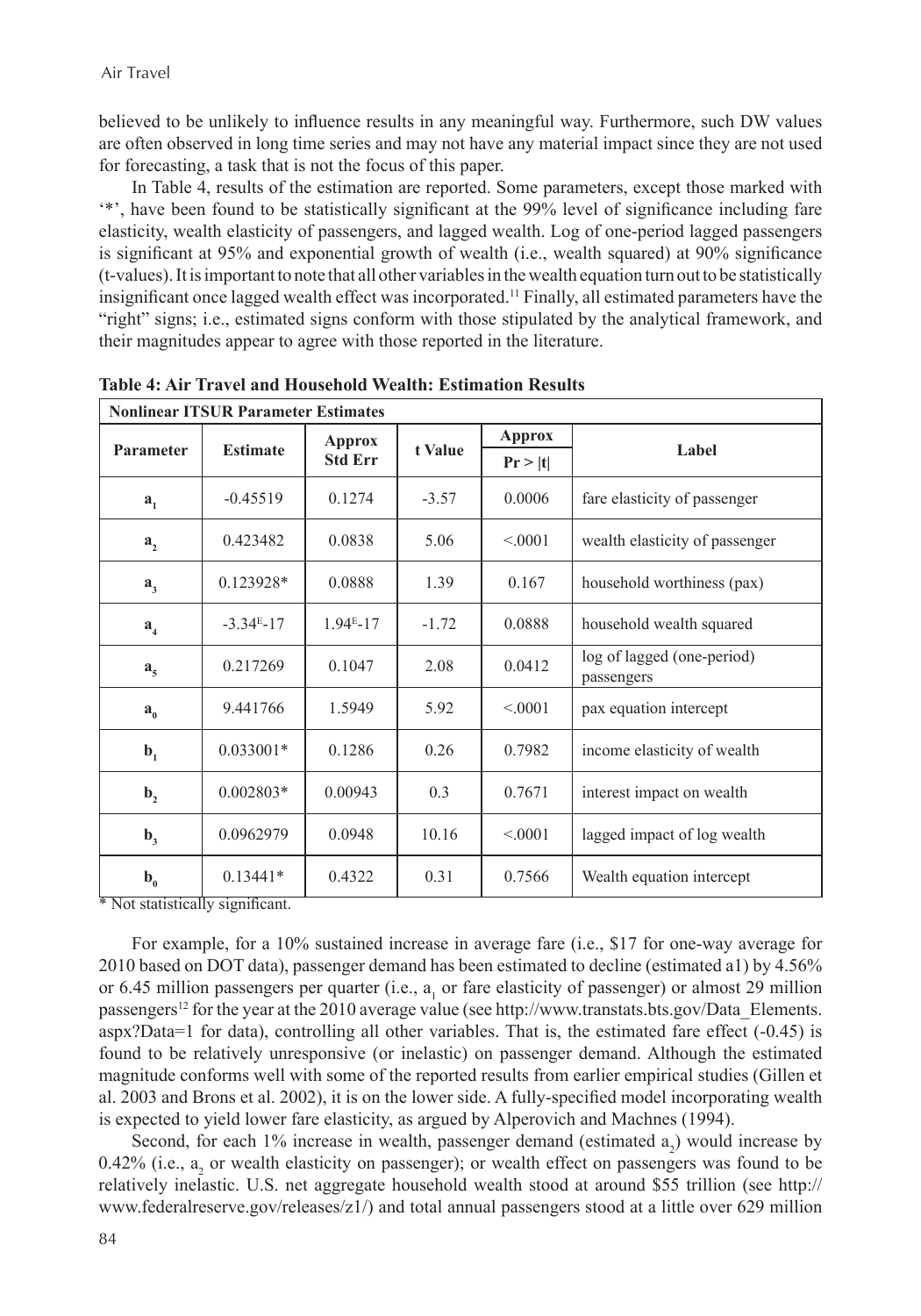believed to be unlikely to influence results in any meaningful way. Furthermore, such DW values are often observed in long time series and may not have any material impact since they are not used for forecasting, a task that is not the focus of this paper.

In Table 4, results of the estimation are reported. Some parameters, except those marked with '\*', have been found to be statistically significant at the 99% level of significance including fare elasticity, wealth elasticity of passengers, and lagged wealth. Log of one-period lagged passengers is significant at 95% and exponential growth of wealth (i.e., wealth squared) at 90% significance (t-values). It is important to note that all other variables in the wealth equation turn out to be statistically insignificant once lagged wealth effect was incorporated.<sup>11</sup> Finally, all estimated parameters have the "right" signs; i.e., estimated signs conform with those stipulated by the analytical framework, and their magnitudes appear to agree with those reported in the literature.

| <b>Nonlinear ITSUR Parameter Estimates</b> |                 |                |         |               |                                          |  |  |
|--------------------------------------------|-----------------|----------------|---------|---------------|------------------------------------------|--|--|
|                                            |                 | <b>Approx</b>  | t Value | <b>Approx</b> |                                          |  |  |
| Parameter                                  | <b>Estimate</b> | <b>Std Err</b> |         | Pr >  t       | Label                                    |  |  |
| a <sub>1</sub>                             | $-0.45519$      | 0.1274         | $-3.57$ | 0.0006        | fare elasticity of passenger             |  |  |
| a <sub>2</sub>                             | 0.423482        | 0.0838         | 5.06    | < 0.001       | wealth elasticity of passenger           |  |  |
| a <sub>3</sub>                             | $0.123928*$     | 0.0888         | 1.39    | 0.167         | household worthiness (pax)               |  |  |
| $a_{\mu}$                                  | $-3.34E-17$     | $1.94E-17$     | $-1.72$ | 0.0888        | household wealth squared                 |  |  |
| $a_{\zeta}$                                | 0.217269        | 0.1047         | 2.08    | 0.0412        | log of lagged (one-period)<br>passengers |  |  |
| $a_{0}$                                    | 9.441766        | 1.5949         | 5.92    | < 0.001       | pax equation intercept                   |  |  |
| $\mathbf{b}_1$                             | $0.033001*$     | 0.1286         | 0.26    | 0.7982        | income elasticity of wealth              |  |  |
| $\mathbf{b}_2$                             | $0.002803*$     | 0.00943        | 0.3     | 0.7671        | interest impact on wealth                |  |  |
| $\mathbf{b}_3$                             | 0.0962979       | 0.0948         | 10.16   | < 0.001       | lagged impact of log wealth              |  |  |
| $b$ <sub>0</sub>                           | $0.13441*$      | 0.4322         | 0.31    | 0.7566        | Wealth equation intercept                |  |  |

**Table 4: Air Travel and Household Wealth: Estimation Results** 

\* Not statistically significant.

For example, for a 10% sustained increase in average fare (i.e., \$17 for one-way average for 2010 based on DOT data), passenger demand has been estimated to decline (estimated a1) by 4.56% or 6.45 million passengers per quarter (i.e.,  $a_1$  or fare elasticity of passenger) or almost 29 million passengers<sup>12</sup> for the year at the 2010 average value (see http://www.transtats.bts.gov/Data\_Elements. aspx?Data=1 for data), controlling all other variables. That is, the estimated fare effect (-0.45) is found to be relatively unresponsive (or inelastic) on passenger demand. Although the estimated magnitude conforms well with some of the reported results from earlier empirical studies (Gillen et al. 2003 and Brons et al. 2002), it is on the lower side. A fully-specified model incorporating wealth is expected to yield lower fare elasticity, as argued by Alperovich and Machnes (1994).

Second, for each  $1\%$  increase in wealth, passenger demand (estimated  $a_2$ ) would increase by  $0.42\%$  (i.e.,  $a_2$  or wealth elasticity on passenger); or wealth effect on passengers was found to be relatively inelastic. U.S. net aggregate household wealth stood at around \$55 trillion (see http:// www.federalreserve.gov/releases/z1/) and total annual passengers stood at a little over 629 million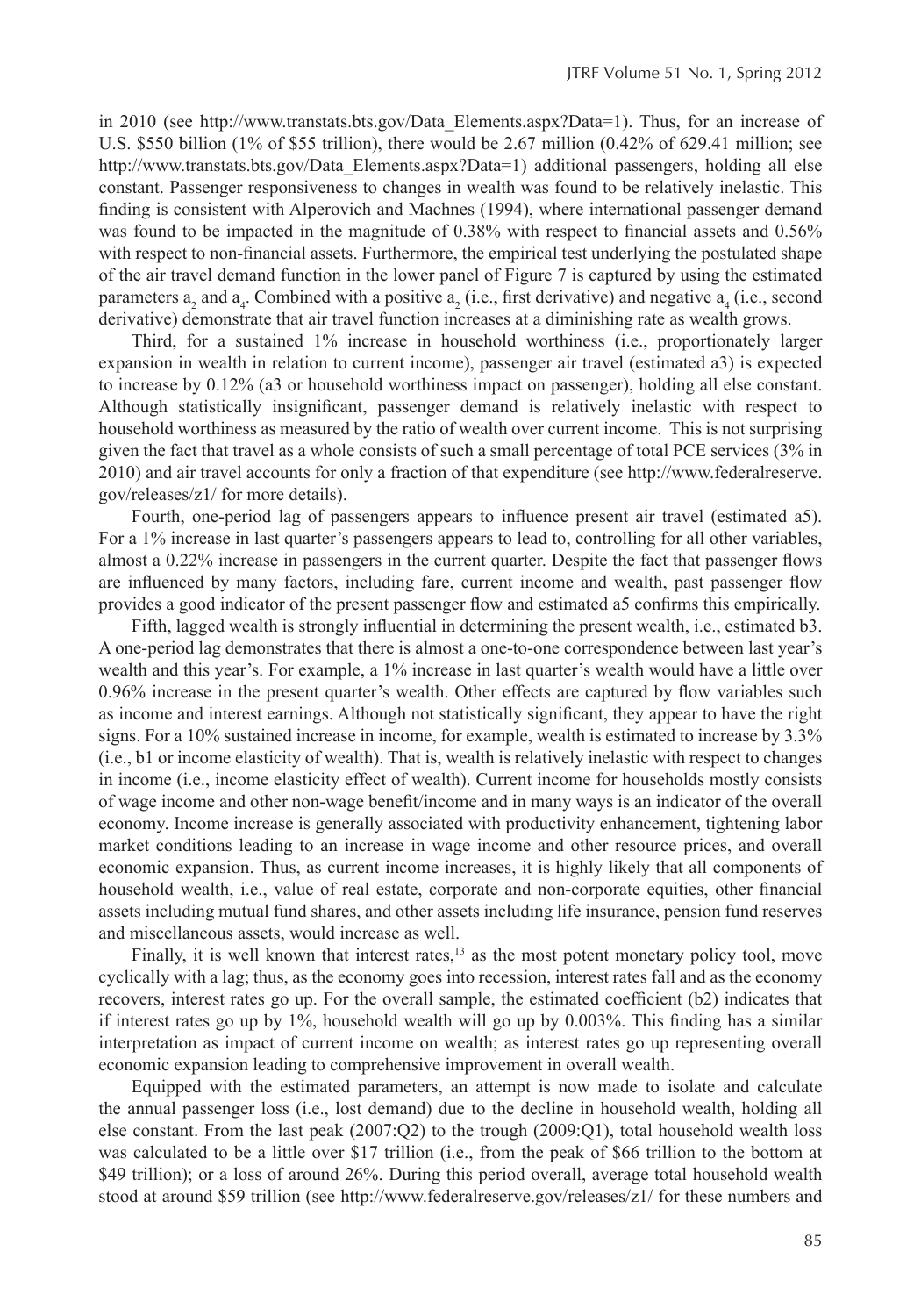in 2010 (see http://www.transtats.bts.gov/Data Elements.aspx?Data=1). Thus, for an increase of U.S. \$550 billion (1% of \$55 trillion), there would be 2.67 million (0.42% of 629.41 million; see http://www.transtats.bts.gov/Data\_Elements.aspx?Data=1) additional passengers, holding all else constant. Passenger responsiveness to changes in wealth was found to be relatively inelastic. This finding is consistent with Alperovich and Machnes (1994), where international passenger demand was found to be impacted in the magnitude of 0.38% with respect to financial assets and 0.56% with respect to non-financial assets. Furthermore, the empirical test underlying the postulated shape of the air travel demand function in the lower panel of Figure 7 is captured by using the estimated parameters  $a_2$  and  $a_4$ . Combined with a positive  $a_2$  (i.e., first derivative) and negative  $a_4$  (i.e., second derivative) demonstrate that air travel function increases at a diminishing rate as wealth grows.

Third, for a sustained 1% increase in household worthiness (i.e., proportionately larger expansion in wealth in relation to current income), passenger air travel (estimated a3) is expected to increase by 0.12% (a3 or household worthiness impact on passenger), holding all else constant. Although statistically insignificant, passenger demand is relatively inelastic with respect to household worthiness as measured by the ratio of wealth over current income. This is not surprising given the fact that travel as a whole consists of such a small percentage of total PCE services (3% in 2010) and air travel accounts for only a fraction of that expenditure (see http://www.federalreserve. gov/releases/z1/ for more details).

Fourth, one-period lag of passengers appears to influence present air travel (estimated a5). For a 1% increase in last quarter's passengers appears to lead to, controlling for all other variables, almost a 0.22% increase in passengers in the current quarter. Despite the fact that passenger flows are influenced by many factors, including fare, current income and wealth, past passenger flow provides a good indicator of the present passenger flow and estimated a5 confirms this empirically.

Fifth, lagged wealth is strongly influential in determining the present wealth, i.e., estimated b3. A one-period lag demonstrates that there is almost a one-to-one correspondence between last year's wealth and this year's. For example, a 1% increase in last quarter's wealth would have a little over 0.96% increase in the present quarter's wealth. Other effects are captured by flow variables such as income and interest earnings. Although not statistically significant, they appear to have the right signs. For a 10% sustained increase in income, for example, wealth is estimated to increase by 3.3% (i.e., b1 or income elasticity of wealth). That is, wealth is relatively inelastic with respect to changes in income (i.e., income elasticity effect of wealth). Current income for households mostly consists of wage income and other non-wage benefit/income and in many ways is an indicator of the overall economy. Income increase is generally associated with productivity enhancement, tightening labor market conditions leading to an increase in wage income and other resource prices, and overall economic expansion. Thus, as current income increases, it is highly likely that all components of household wealth, i.e., value of real estate, corporate and non-corporate equities, other financial assets including mutual fund shares, and other assets including life insurance, pension fund reserves and miscellaneous assets, would increase as well.

Finally, it is well known that interest rates,<sup>13</sup> as the most potent monetary policy tool, move cyclically with a lag; thus, as the economy goes into recession, interest rates fall and as the economy recovers, interest rates go up. For the overall sample, the estimated coefficient (b2) indicates that if interest rates go up by 1%, household wealth will go up by 0.003%. This finding has a similar interpretation as impact of current income on wealth; as interest rates go up representing overall economic expansion leading to comprehensive improvement in overall wealth.

Equipped with the estimated parameters, an attempt is now made to isolate and calculate the annual passenger loss (i.e., lost demand) due to the decline in household wealth, holding all else constant. From the last peak (2007:Q2) to the trough (2009:Q1), total household wealth loss was calculated to be a little over \$17 trillion (i.e., from the peak of \$66 trillion to the bottom at \$49 trillion); or a loss of around 26%. During this period overall, average total household wealth stood at around \$59 trillion (see http://www.federalreserve.gov/releases/z1/ for these numbers and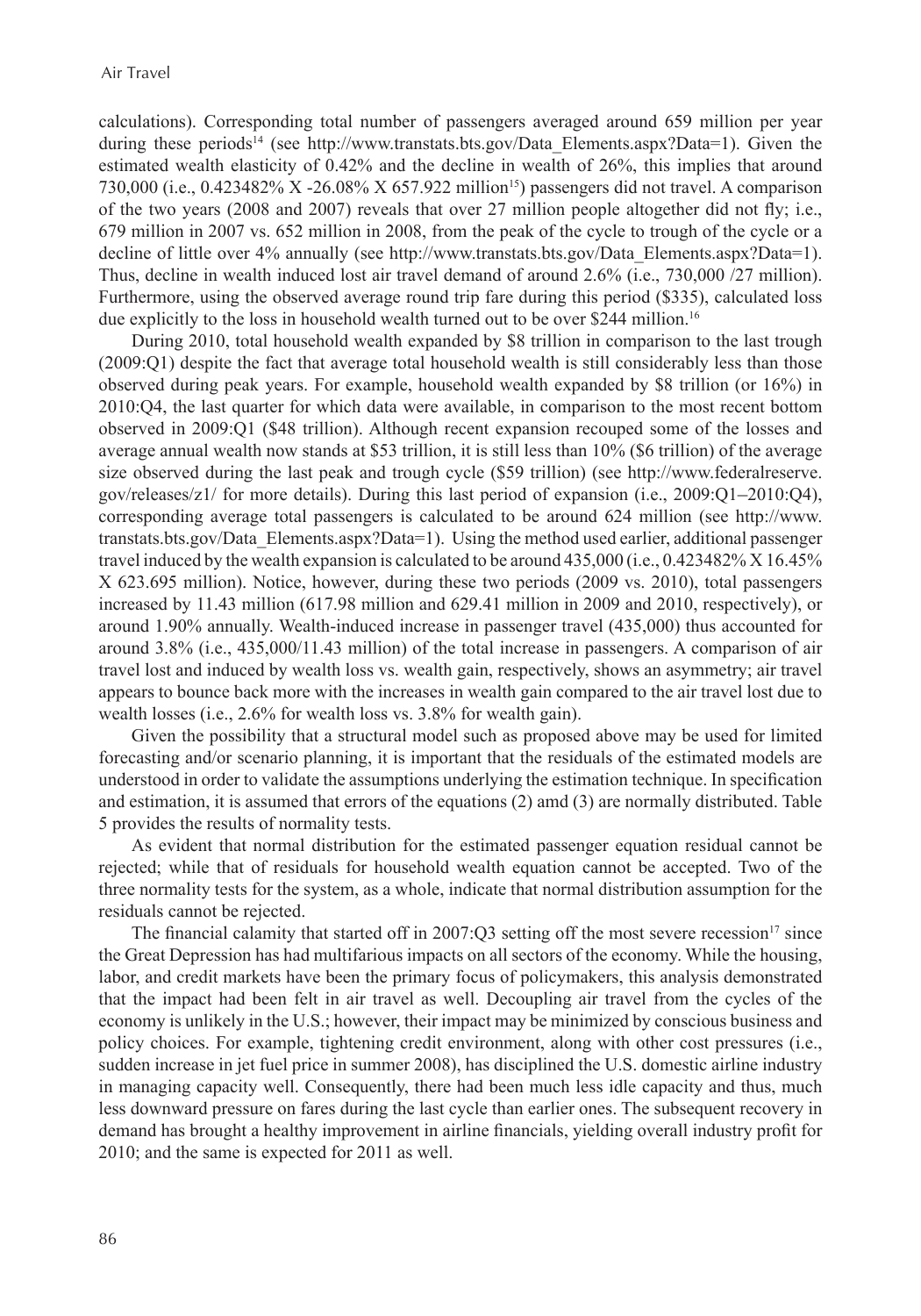calculations). Corresponding total number of passengers averaged around 659 million per year during these periods<sup>14</sup> (see http://www.transtats.bts.gov/Data Elements.aspx?Data=1). Given the estimated wealth elasticity of 0.42% and the decline in wealth of 26%, this implies that around 730,000 (i.e., 0.423482% X -26.08% X 657.922 million<sup>15</sup>) passengers did not travel. A comparison of the two years (2008 and 2007) reveals that over 27 million people altogether did not fly; i.e., 679 million in 2007 vs. 652 million in 2008, from the peak of the cycle to trough of the cycle or a decline of little over 4% annually (see http://www.transtats.bts.gov/Data\_Elements.aspx?Data=1). Thus, decline in wealth induced lost air travel demand of around 2.6% (i.e., 730,000 /27 million). Furthermore, using the observed average round trip fare during this period (\$335), calculated loss due explicitly to the loss in household wealth turned out to be over \$244 million.<sup>16</sup>

During 2010, total household wealth expanded by \$8 trillion in comparison to the last trough (2009:Q1) despite the fact that average total household wealth is still considerably less than those observed during peak years. For example, household wealth expanded by \$8 trillion (or 16%) in 2010:Q4, the last quarter for which data were available, in comparison to the most recent bottom observed in 2009:Q1 (\$48 trillion). Although recent expansion recouped some of the losses and average annual wealth now stands at \$53 trillion, it is still less than 10% (\$6 trillion) of the average size observed during the last peak and trough cycle (\$59 trillion) (see http://www.federalreserve. gov/releases/z1/ for more details). During this last period of expansion (i.e., 2009:Q1–2010:Q4), corresponding average total passengers is calculated to be around 624 million (see http://www. transtats.bts.gov/Data\_Elements.aspx?Data=1). Using the method used earlier, additional passenger travel induced by the wealth expansion is calculated to be around 435,000 (i.e., 0.423482% X 16.45% X 623.695 million). Notice, however, during these two periods (2009 vs. 2010), total passengers increased by 11.43 million (617.98 million and 629.41 million in 2009 and 2010, respectively), or around 1.90% annually. Wealth-induced increase in passenger travel (435,000) thus accounted for around 3.8% (i.e., 435,000/11.43 million) of the total increase in passengers. A comparison of air travel lost and induced by wealth loss vs. wealth gain, respectively, shows an asymmetry; air travel appears to bounce back more with the increases in wealth gain compared to the air travel lost due to wealth losses (i.e., 2.6% for wealth loss vs. 3.8% for wealth gain).

Given the possibility that a structural model such as proposed above may be used for limited forecasting and/or scenario planning, it is important that the residuals of the estimated models are understood in order to validate the assumptions underlying the estimation technique. In specification and estimation, it is assumed that errors of the equations (2) amd (3) are normally distributed. Table 5 provides the results of normality tests.

As evident that normal distribution for the estimated passenger equation residual cannot be rejected; while that of residuals for household wealth equation cannot be accepted. Two of the three normality tests for the system, as a whole, indicate that normal distribution assumption for the residuals cannot be rejected.

The financial calamity that started off in 2007:Q3 setting off the most severe recession<sup>17</sup> since the Great Depression has had multifarious impacts on all sectors of the economy. While the housing, labor, and credit markets have been the primary focus of policymakers, this analysis demonstrated that the impact had been felt in air travel as well. Decoupling air travel from the cycles of the economy is unlikely in the U.S.; however, their impact may be minimized by conscious business and policy choices. For example, tightening credit environment, along with other cost pressures (i.e., sudden increase in jet fuel price in summer 2008), has disciplined the U.S. domestic airline industry in managing capacity well. Consequently, there had been much less idle capacity and thus, much less downward pressure on fares during the last cycle than earlier ones. The subsequent recovery in demand has brought a healthy improvement in airline financials, yielding overall industry profit for 2010; and the same is expected for 2011 as well.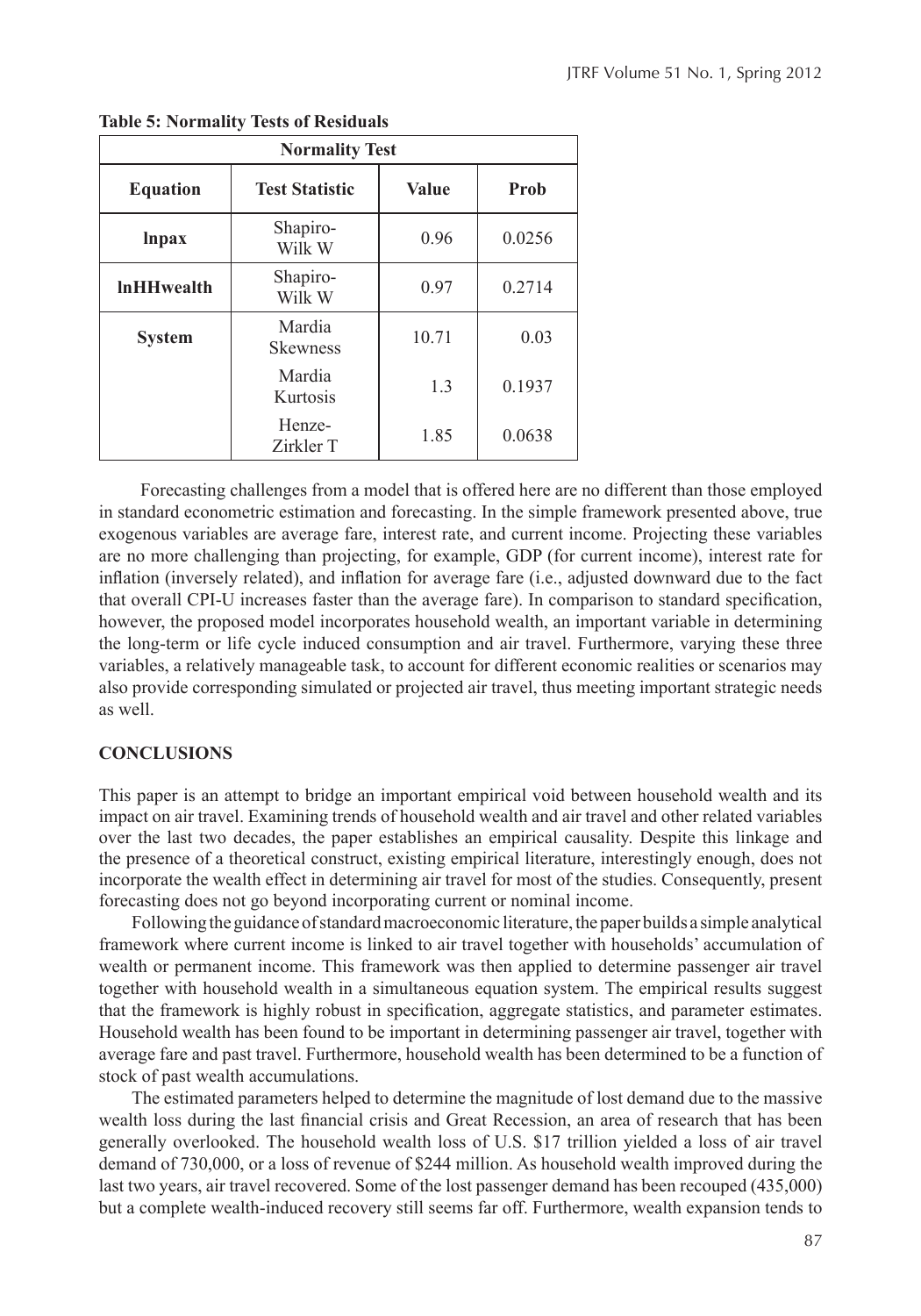| <b>Normality Test</b> |                           |              |        |  |  |  |  |  |
|-----------------------|---------------------------|--------------|--------|--|--|--|--|--|
| <b>Equation</b>       | <b>Test Statistic</b>     | <b>Value</b> | Prob   |  |  |  |  |  |
| <i>lnpax</i>          | Shapiro-<br>Wilk W        | 0.96         | 0.0256 |  |  |  |  |  |
| <b>InHHwealth</b>     | Shapiro-<br>Wilk W        | 0.97         | 0.2714 |  |  |  |  |  |
| <b>System</b>         | Mardia<br><b>Skewness</b> | 10.71        | 0.03   |  |  |  |  |  |
|                       | Mardia<br>Kurtosis        | 1.3          | 0.1937 |  |  |  |  |  |
|                       | Henze-<br>Zirkler T       | 1.85         | 0.0638 |  |  |  |  |  |

**Table 5: Normality Tests of Residuals**

 Forecasting challenges from a model that is offered here are no different than those employed in standard econometric estimation and forecasting. In the simple framework presented above, true exogenous variables are average fare, interest rate, and current income. Projecting these variables are no more challenging than projecting, for example, GDP (for current income), interest rate for inflation (inversely related), and inflation for average fare (i.e., adjusted downward due to the fact that overall CPI-U increases faster than the average fare). In comparison to standard specification, however, the proposed model incorporates household wealth, an important variable in determining the long-term or life cycle induced consumption and air travel. Furthermore, varying these three variables, a relatively manageable task, to account for different economic realities or scenarios may also provide corresponding simulated or projected air travel, thus meeting important strategic needs as well.

#### **CONCLUSIONS**

This paper is an attempt to bridge an important empirical void between household wealth and its impact on air travel. Examining trends of household wealth and air travel and other related variables over the last two decades, the paper establishes an empirical causality. Despite this linkage and the presence of a theoretical construct, existing empirical literature, interestingly enough, does not incorporate the wealth effect in determining air travel for most of the studies. Consequently, present forecasting does not go beyond incorporating current or nominal income.

Following the guidance of standard macroeconomic literature, the paper builds a simple analytical framework where current income is linked to air travel together with households' accumulation of wealth or permanent income. This framework was then applied to determine passenger air travel together with household wealth in a simultaneous equation system. The empirical results suggest that the framework is highly robust in specification, aggregate statistics, and parameter estimates. Household wealth has been found to be important in determining passenger air travel, together with average fare and past travel. Furthermore, household wealth has been determined to be a function of stock of past wealth accumulations.

The estimated parameters helped to determine the magnitude of lost demand due to the massive wealth loss during the last financial crisis and Great Recession, an area of research that has been generally overlooked. The household wealth loss of U.S. \$17 trillion yielded a loss of air travel demand of 730,000, or a loss of revenue of \$244 million. As household wealth improved during the last two years, air travel recovered. Some of the lost passenger demand has been recouped (435,000) but a complete wealth-induced recovery still seems far off. Furthermore, wealth expansion tends to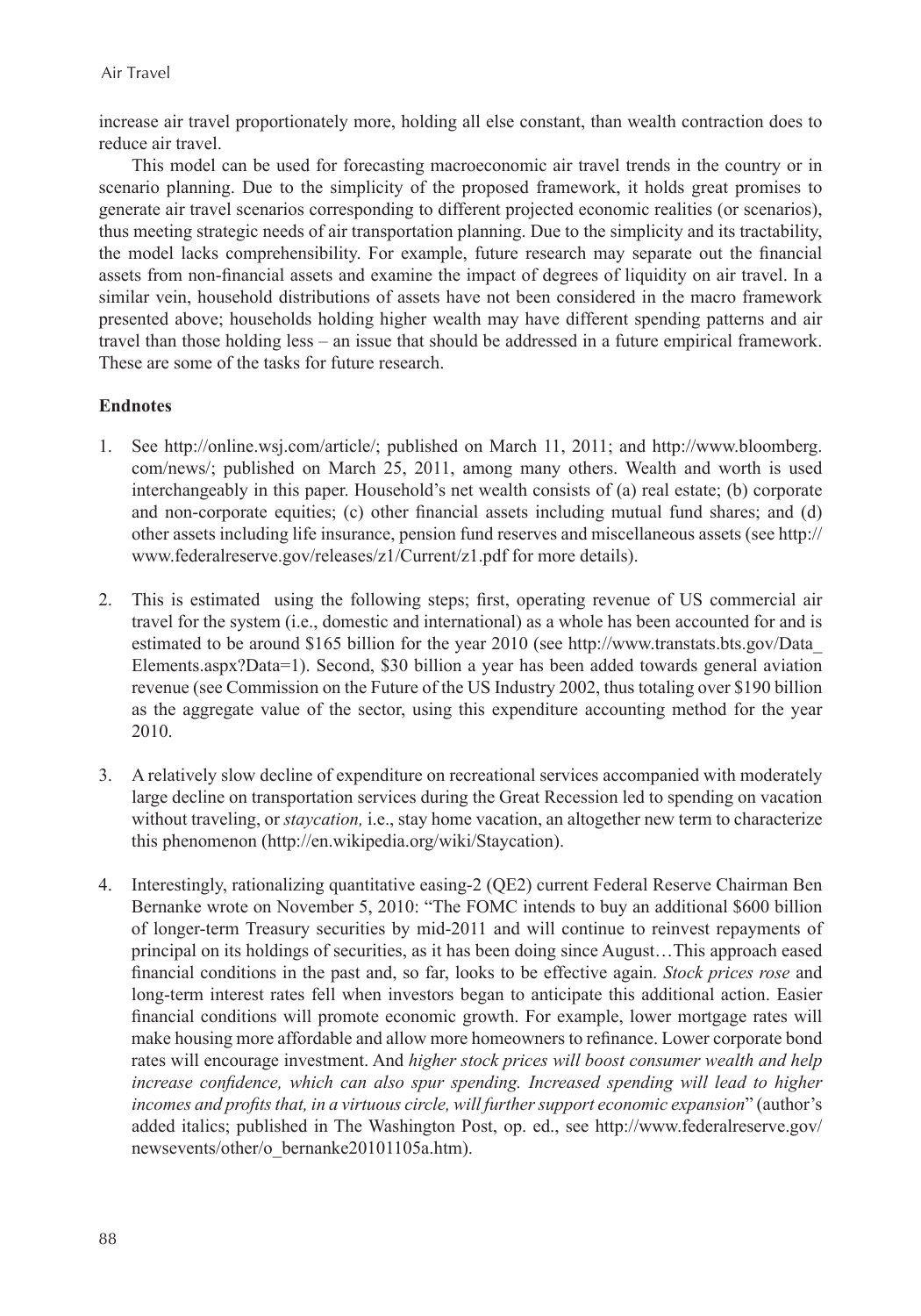increase air travel proportionately more, holding all else constant, than wealth contraction does to reduce air travel.

This model can be used for forecasting macroeconomic air travel trends in the country or in scenario planning. Due to the simplicity of the proposed framework, it holds great promises to generate air travel scenarios corresponding to different projected economic realities (or scenarios), thus meeting strategic needs of air transportation planning. Due to the simplicity and its tractability, the model lacks comprehensibility. For example, future research may separate out the financial assets from non-financial assets and examine the impact of degrees of liquidity on air travel. In a similar vein, household distributions of assets have not been considered in the macro framework presented above; households holding higher wealth may have different spending patterns and air travel than those holding less – an issue that should be addressed in a future empirical framework. These are some of the tasks for future research.

## **Endnotes**

- 1. See http://online.wsj.com/article/; published on March 11, 2011; and http://www.bloomberg. com/news/; published on March 25, 2011, among many others. Wealth and worth is used interchangeably in this paper. Household's net wealth consists of (a) real estate; (b) corporate and non-corporate equities; (c) other financial assets including mutual fund shares; and (d) other assets including life insurance, pension fund reserves and miscellaneous assets (see http:// www.federalreserve.gov/releases/z1/Current/z1.pdf for more details).
- 2. This is estimated using the following steps; first, operating revenue of US commercial air travel for the system (i.e., domestic and international) as a whole has been accounted for and is estimated to be around \$165 billion for the year 2010 (see http://www.transtats.bts.gov/Data\_ Elements.aspx?Data=1). Second, \$30 billion a year has been added towards general aviation revenue (see Commission on the Future of the US Industry 2002, thus totaling over \$190 billion as the aggregate value of the sector, using this expenditure accounting method for the year 2010.
- 3. A relatively slow decline of expenditure on recreational services accompanied with moderately large decline on transportation services during the Great Recession led to spending on vacation without traveling, or *staycation*, i.e., stay home vacation, an altogether new term to characterize this phenomenon (http://en.wikipedia.org/wiki/Staycation).
- 4. Interestingly, rationalizing quantitative easing-2 (QE2) current Federal Reserve Chairman Ben Bernanke wrote on November 5, 2010: "The FOMC intends to buy an additional \$600 billion of longer-term Treasury securities by mid-2011 and will continue to reinvest repayments of principal on its holdings of securities, as it has been doing since August…This approach eased financial conditions in the past and, so far, looks to be effective again. *Stock prices rose* and long-term interest rates fell when investors began to anticipate this additional action. Easier financial conditions will promote economic growth. For example, lower mortgage rates will make housing more affordable and allow more homeowners to refinance. Lower corporate bond rates will encourage investment. And *higher stock prices will boost consumer wealth and help increase confidence, which can also spur spending. Increased spending will lead to higher* incomes and profits that, in a virtuous circle, will further support economic expansion" (author's added italics; published in The Washington Post, op. ed., see http://www.federalreserve.gov/ newsevents/other/o\_bernanke20101105a.htm).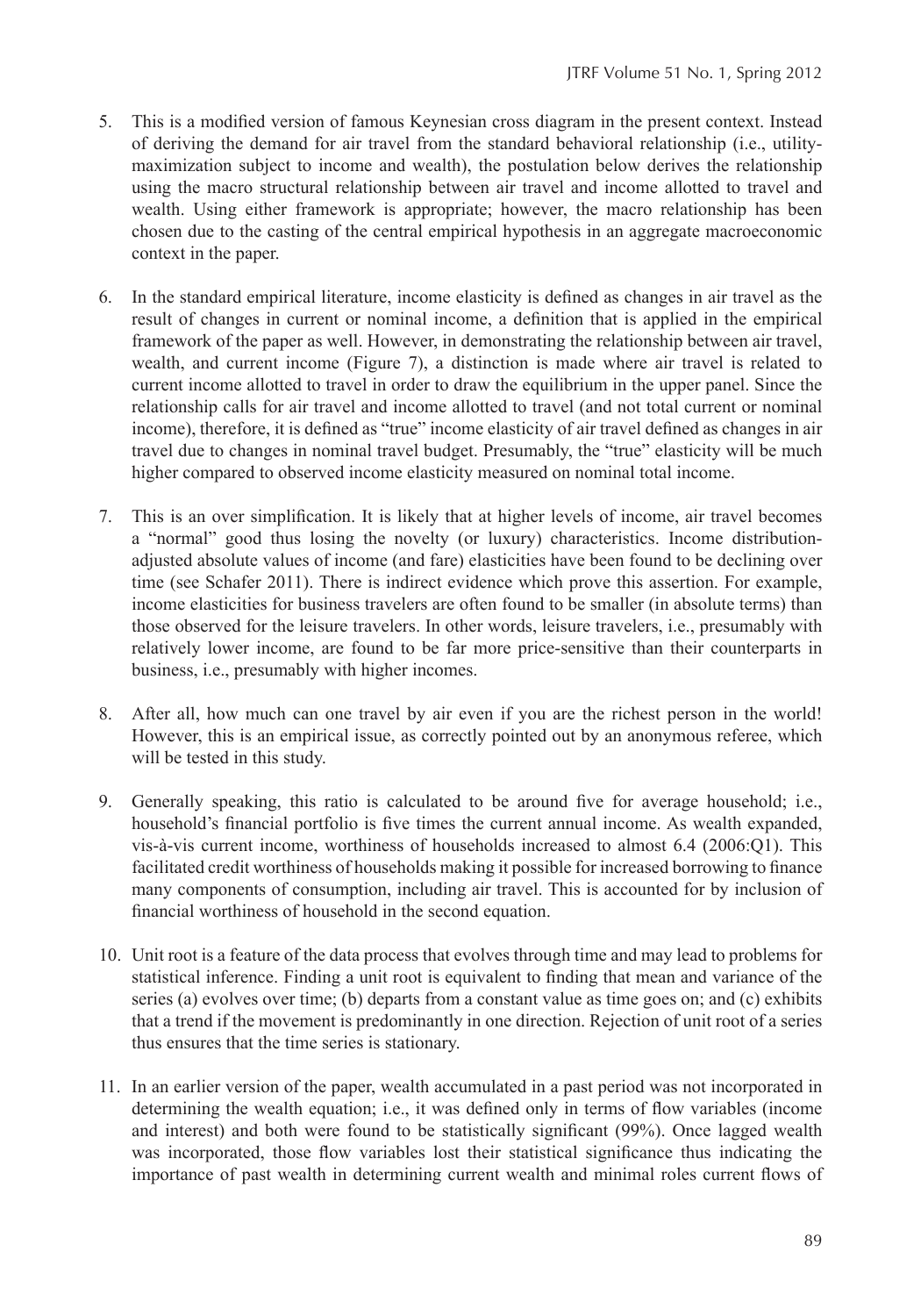- 5. This is a modified version of famous Keynesian cross diagram in the present context. Instead of deriving the demand for air travel from the standard behavioral relationship (i.e., utilitymaximization subject to income and wealth), the postulation below derives the relationship using the macro structural relationship between air travel and income allotted to travel and wealth. Using either framework is appropriate; however, the macro relationship has been chosen due to the casting of the central empirical hypothesis in an aggregate macroeconomic context in the paper.
- 6. In the standard empirical literature, income elasticity is defined as changes in air travel as the result of changes in current or nominal income, a definition that is applied in the empirical framework of the paper as well. However, in demonstrating the relationship between air travel, wealth, and current income (Figure 7), a distinction is made where air travel is related to current income allotted to travel in order to draw the equilibrium in the upper panel. Since the relationship calls for air travel and income allotted to travel (and not total current or nominal income), therefore, it is defined as "true" income elasticity of air travel defined as changes in air travel due to changes in nominal travel budget. Presumably, the "true" elasticity will be much higher compared to observed income elasticity measured on nominal total income.
- 7. This is an over simplification. It is likely that at higher levels of income, air travel becomes a "normal" good thus losing the novelty (or luxury) characteristics. Income distributionadjusted absolute values of income (and fare) elasticities have been found to be declining over time (see Schafer 2011). There is indirect evidence which prove this assertion. For example, income elasticities for business travelers are often found to be smaller (in absolute terms) than those observed for the leisure travelers. In other words, leisure travelers, i.e., presumably with relatively lower income, are found to be far more price-sensitive than their counterparts in business, i.e., presumably with higher incomes.
- 8. After all, how much can one travel by air even if you are the richest person in the world! However, this is an empirical issue, as correctly pointed out by an anonymous referee, which will be tested in this study.
- 9. Generally speaking, this ratio is calculated to be around five for average household; i.e., household's financial portfolio is five times the current annual income. As wealth expanded, vis-à-vis current income, worthiness of households increased to almost 6.4 (2006:Q1). This facilitated credit worthiness of households making it possible for increased borrowing to finance many components of consumption, including air travel. This is accounted for by inclusion of financial worthiness of household in the second equation.
- 10. Unit root is a feature of the data process that evolves through time and may lead to problems for statistical inference. Finding a unit root is equivalent to finding that mean and variance of the series (a) evolves over time; (b) departs from a constant value as time goes on; and (c) exhibits that a trend if the movement is predominantly in one direction. Rejection of unit root of a series thus ensures that the time series is stationary.
- 11. In an earlier version of the paper, wealth accumulated in a past period was not incorporated in determining the wealth equation; i.e., it was defined only in terms of flow variables (income and interest) and both were found to be statistically significant (99%). Once lagged wealth was incorporated, those flow variables lost their statistical significance thus indicating the importance of past wealth in determining current wealth and minimal roles current flows of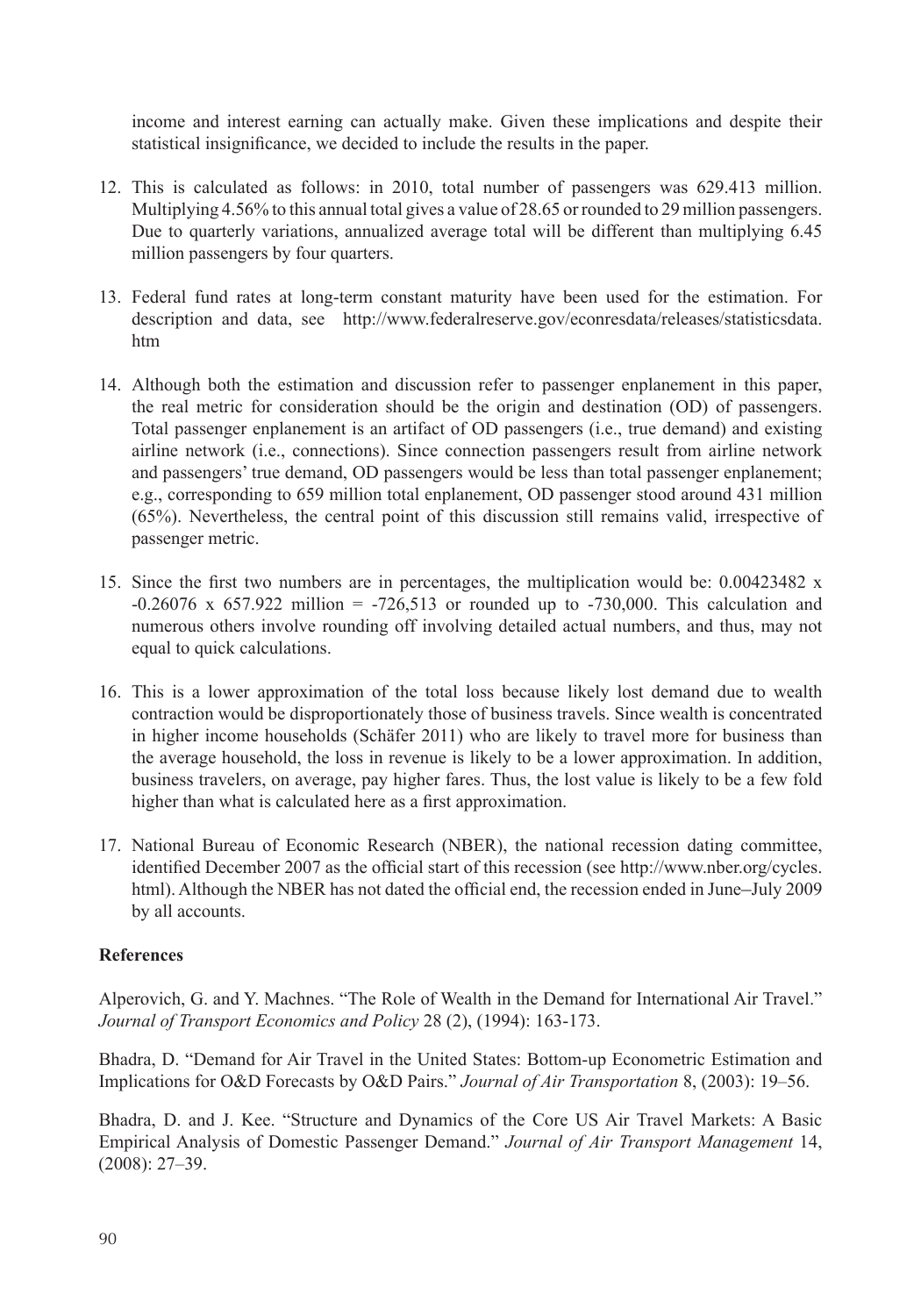income and interest earning can actually make. Given these implications and despite their statistical insignificance, we decided to include the results in the paper.

- 12. This is calculated as follows: in 2010, total number of passengers was 629.413 million. Multiplying 4.56% to this annual total gives a value of 28.65 or rounded to 29 million passengers. Due to quarterly variations, annualized average total will be different than multiplying 6.45 million passengers by four quarters.
- 13. Federal fund rates at long-term constant maturity have been used for the estimation. For description and data, see http://www.federalreserve.gov/econresdata/releases/statisticsdata. htm
- 14. Although both the estimation and discussion refer to passenger enplanement in this paper, the real metric for consideration should be the origin and destination (OD) of passengers. Total passenger enplanement is an artifact of OD passengers (i.e., true demand) and existing airline network (i.e., connections). Since connection passengers result from airline network and passengers' true demand, OD passengers would be less than total passenger enplanement; e.g., corresponding to 659 million total enplanement, OD passenger stood around 431 million (65%). Nevertheless, the central point of this discussion still remains valid, irrespective of passenger metric.
- 15. Since the first two numbers are in percentages, the multiplication would be: 0.00423482 x  $-0.26076 \times 657.922$  million =  $-726.513$  or rounded up to  $-730,000$ . This calculation and numerous others involve rounding off involving detailed actual numbers, and thus, may not equal to quick calculations.
- 16. This is a lower approximation of the total loss because likely lost demand due to wealth contraction would be disproportionately those of business travels. Since wealth is concentrated in higher income households (Schäfer 2011) who are likely to travel more for business than the average household, the loss in revenue is likely to be a lower approximation. In addition, business travelers, on average, pay higher fares. Thus, the lost value is likely to be a few fold higher than what is calculated here as a first approximation.
- 17. National Bureau of Economic Research (NBER), the national recession dating committee, identified December 2007 as the official start of this recession (see http://www.nber.org/cycles. html). Although the NBER has not dated the official end, the recession ended in June–July 2009 by all accounts.

## **References**

Alperovich, G. and Y. Machnes. "The Role of Wealth in the Demand for International Air Travel." *Journal of Transport Economics and Policy* 28 (2), (1994): 163-173.

Bhadra, D. "Demand for Air Travel in the United States: Bottom-up Econometric Estimation and Implications for O&D Forecasts by O&D Pairs." *Journal of Air Transportation* 8, (2003): 19–56.

Bhadra, D. and J. Kee. "Structure and Dynamics of the Core US Air Travel Markets: A Basic Empirical Analysis of Domestic Passenger Demand." *Journal of Air Transport Management* 14, (2008): 27–39.